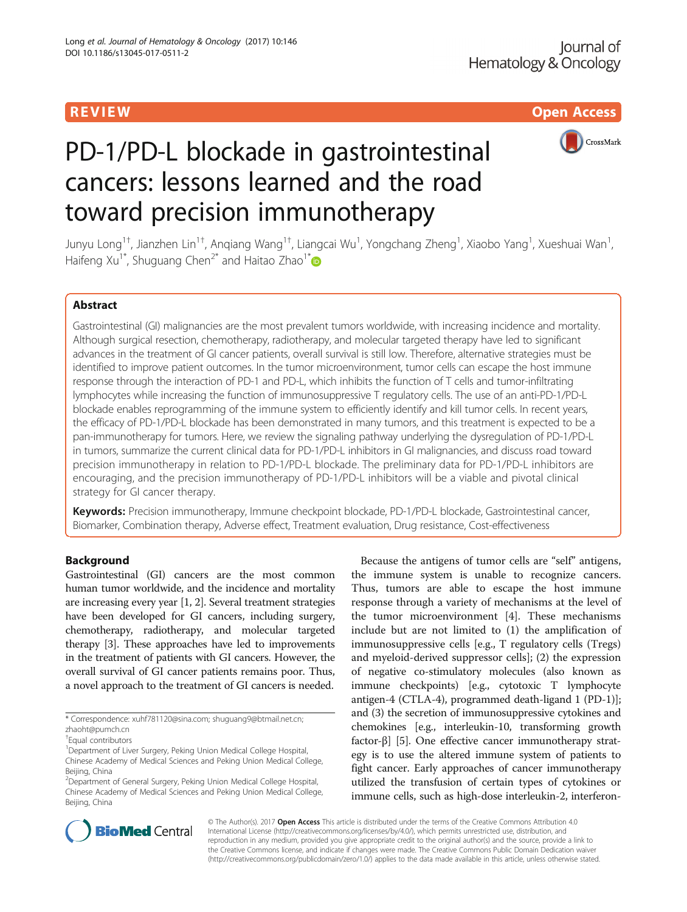R EVI EW Open Access



# PD-1/PD-L blockade in gastrointestinal cancers: lessons learned and the road toward precision immunotherapy

Junyu Long<sup>1†</sup>, Jianzhen Lin<sup>1†</sup>, Anqiang Wang<sup>1†</sup>, Liangcai Wu<sup>1</sup>, Yongchang Zheng<sup>1</sup>, Xiaobo Yang<sup>1</sup>, Xueshuai Wan<sup>1</sup> , Haifeng Xu<sup>1\*</sup>, Shuguang Chen<sup>2\*</sup> and Haitao Zhao<sup>1\*</sup>

# Abstract

Gastrointestinal (GI) malignancies are the most prevalent tumors worldwide, with increasing incidence and mortality. Although surgical resection, chemotherapy, radiotherapy, and molecular targeted therapy have led to significant advances in the treatment of GI cancer patients, overall survival is still low. Therefore, alternative strategies must be identified to improve patient outcomes. In the tumor microenvironment, tumor cells can escape the host immune response through the interaction of PD-1 and PD-L, which inhibits the function of T cells and tumor-infiltrating lymphocytes while increasing the function of immunosuppressive T regulatory cells. The use of an anti-PD-1/PD-L blockade enables reprogramming of the immune system to efficiently identify and kill tumor cells. In recent years, the efficacy of PD-1/PD-L blockade has been demonstrated in many tumors, and this treatment is expected to be a pan-immunotherapy for tumors. Here, we review the signaling pathway underlying the dysregulation of PD-1/PD-L in tumors, summarize the current clinical data for PD-1/PD-L inhibitors in GI malignancies, and discuss road toward precision immunotherapy in relation to PD-1/PD-L blockade. The preliminary data for PD-1/PD-L inhibitors are encouraging, and the precision immunotherapy of PD-1/PD-L inhibitors will be a viable and pivotal clinical strategy for GI cancer therapy.

Keywords: Precision immunotherapy, Immune checkpoint blockade, PD-1/PD-L blockade, Gastrointestinal cancer, Biomarker, Combination therapy, Adverse effect, Treatment evaluation, Drug resistance, Cost-effectiveness

# Background

Gastrointestinal (GI) cancers are the most common human tumor worldwide, and the incidence and mortality are increasing every year [[1](#page-16-0), [2\]](#page-16-0). Several treatment strategies have been developed for GI cancers, including surgery, chemotherapy, radiotherapy, and molecular targeted therapy [\[3](#page-16-0)]. These approaches have led to improvements in the treatment of patients with GI cancers. However, the overall survival of GI cancer patients remains poor. Thus, a novel approach to the treatment of GI cancers is needed.

\* Correspondence: [xuhf781120@sina.com;](mailto:xuhf781120@sina.com) [shuguang9@btmail.net.cn;](mailto:shuguang9@btmail.net.cn) [zhaoht@pumch.cn](mailto:zhaoht@pumch.cn)

2 Department of General Surgery, Peking Union Medical College Hospital, Chinese Academy of Medical Sciences and Peking Union Medical College, Beijing, China

Because the antigens of tumor cells are "self" antigens, the immune system is unable to recognize cancers. Thus, tumors are able to escape the host immune response through a variety of mechanisms at the level of the tumor microenvironment [\[4\]](#page-16-0). These mechanisms include but are not limited to (1) the amplification of immunosuppressive cells [e.g., T regulatory cells (Tregs) and myeloid-derived suppressor cells]; (2) the expression of negative co-stimulatory molecules (also known as immune checkpoints) [e.g., cytotoxic T lymphocyte antigen-4 (CTLA-4), programmed death-ligand 1 (PD-1)]; and (3) the secretion of immunosuppressive cytokines and chemokines [e.g., interleukin-10, transforming growth factor-β] [\[5](#page-16-0)]. One effective cancer immunotherapy strategy is to use the altered immune system of patients to fight cancer. Early approaches of cancer immunotherapy utilized the transfusion of certain types of cytokines or immune cells, such as high-dose interleukin-2, interferon-



© The Author(s). 2017 **Open Access** This article is distributed under the terms of the Creative Commons Attribution 4.0 International License [\(http://creativecommons.org/licenses/by/4.0/](http://creativecommons.org/licenses/by/4.0/)), which permits unrestricted use, distribution, and reproduction in any medium, provided you give appropriate credit to the original author(s) and the source, provide a link to the Creative Commons license, and indicate if changes were made. The Creative Commons Public Domain Dedication waiver [\(http://creativecommons.org/publicdomain/zero/1.0/](http://creativecommons.org/publicdomain/zero/1.0/)) applies to the data made available in this article, unless otherwise stated.

<sup>†</sup> Equal contributors

<sup>&</sup>lt;sup>1</sup>Department of Liver Surgery, Peking Union Medical College Hospital, Chinese Academy of Medical Sciences and Peking Union Medical College, Beijing, China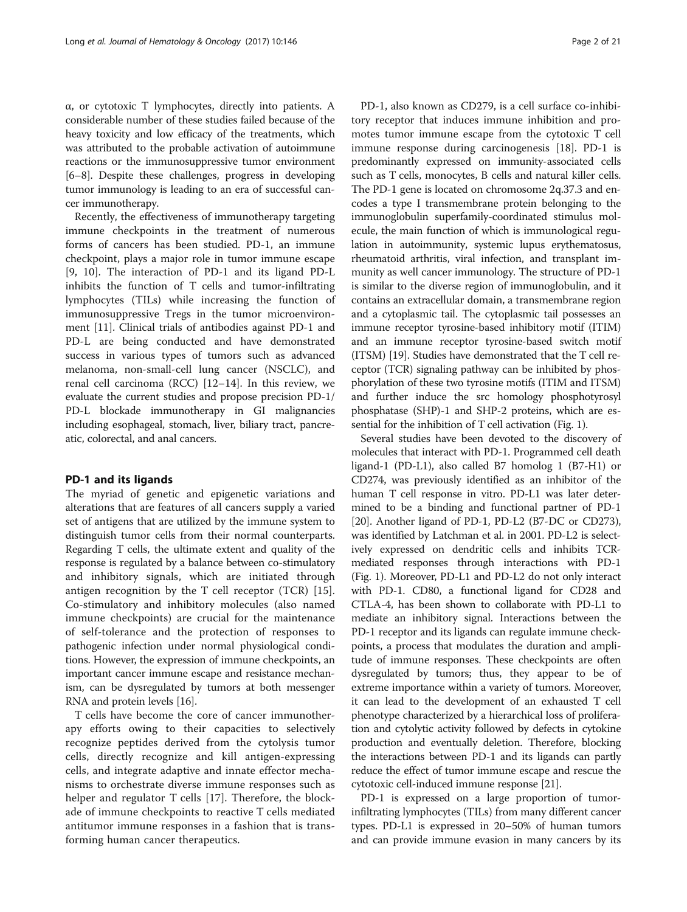α, or cytotoxic T lymphocytes, directly into patients. A considerable number of these studies failed because of the heavy toxicity and low efficacy of the treatments, which was attributed to the probable activation of autoimmune reactions or the immunosuppressive tumor environment [[6](#page-16-0)–[8](#page-16-0)]. Despite these challenges, progress in developing tumor immunology is leading to an era of successful cancer immunotherapy.

Recently, the effectiveness of immunotherapy targeting immune checkpoints in the treatment of numerous forms of cancers has been studied. PD-1, an immune checkpoint, plays a major role in tumor immune escape [[9, 10](#page-16-0)]. The interaction of PD-1 and its ligand PD-L inhibits the function of T cells and tumor-infiltrating lymphocytes (TILs) while increasing the function of immunosuppressive Tregs in the tumor microenvironment [[11](#page-16-0)]. Clinical trials of antibodies against PD-1 and PD-L are being conducted and have demonstrated success in various types of tumors such as advanced melanoma, non-small-cell lung cancer (NSCLC), and renal cell carcinoma (RCC) [\[12](#page-16-0)–[14\]](#page-16-0). In this review, we evaluate the current studies and propose precision PD-1/ PD-L blockade immunotherapy in GI malignancies including esophageal, stomach, liver, biliary tract, pancreatic, colorectal, and anal cancers.

### PD-1 and its ligands

The myriad of genetic and epigenetic variations and alterations that are features of all cancers supply a varied set of antigens that are utilized by the immune system to distinguish tumor cells from their normal counterparts. Regarding T cells, the ultimate extent and quality of the response is regulated by a balance between co-stimulatory and inhibitory signals, which are initiated through antigen recognition by the T cell receptor (TCR) [\[15](#page-16-0)]. Co-stimulatory and inhibitory molecules (also named immune checkpoints) are crucial for the maintenance of self-tolerance and the protection of responses to pathogenic infection under normal physiological conditions. However, the expression of immune checkpoints, an important cancer immune escape and resistance mechanism, can be dysregulated by tumors at both messenger RNA and protein levels [\[16\]](#page-17-0).

T cells have become the core of cancer immunotherapy efforts owing to their capacities to selectively recognize peptides derived from the cytolysis tumor cells, directly recognize and kill antigen-expressing cells, and integrate adaptive and innate effector mechanisms to orchestrate diverse immune responses such as helper and regulator T cells [[17\]](#page-17-0). Therefore, the blockade of immune checkpoints to reactive T cells mediated antitumor immune responses in a fashion that is transforming human cancer therapeutics.

PD-1, also known as CD279, is a cell surface co-inhibitory receptor that induces immune inhibition and promotes tumor immune escape from the cytotoxic T cell immune response during carcinogenesis [\[18](#page-17-0)]. PD-1 is predominantly expressed on immunity-associated cells such as T cells, monocytes, B cells and natural killer cells. The PD-1 gene is located on chromosome 2q.37.3 and encodes a type I transmembrane protein belonging to the immunoglobulin superfamily-coordinated stimulus molecule, the main function of which is immunological regulation in autoimmunity, systemic lupus erythematosus, rheumatoid arthritis, viral infection, and transplant immunity as well cancer immunology. The structure of PD-1 is similar to the diverse region of immunoglobulin, and it contains an extracellular domain, a transmembrane region and a cytoplasmic tail. The cytoplasmic tail possesses an immune receptor tyrosine-based inhibitory motif (ITIM) and an immune receptor tyrosine-based switch motif (ITSM) [\[19](#page-17-0)]. Studies have demonstrated that the T cell receptor (TCR) signaling pathway can be inhibited by phosphorylation of these two tyrosine motifs (ITIM and ITSM) and further induce the src homology phosphotyrosyl phosphatase (SHP)-1 and SHP-2 proteins, which are essential for the inhibition of T cell activation (Fig. [1\)](#page-2-0).

Several studies have been devoted to the discovery of molecules that interact with PD-1. Programmed cell death ligand-1 (PD-L1), also called B7 homolog 1 (B7-H1) or CD274, was previously identified as an inhibitor of the human T cell response in vitro. PD-L1 was later determined to be a binding and functional partner of PD-1 [[20](#page-17-0)]. Another ligand of PD-1, PD-L2 (B7-DC or CD273), was identified by Latchman et al. in 2001. PD-L2 is selectively expressed on dendritic cells and inhibits TCRmediated responses through interactions with PD-1 (Fig. [1\)](#page-2-0). Moreover, PD-L1 and PD-L2 do not only interact with PD-1. CD80, a functional ligand for CD28 and CTLA-4, has been shown to collaborate with PD-L1 to mediate an inhibitory signal. Interactions between the PD-1 receptor and its ligands can regulate immune checkpoints, a process that modulates the duration and amplitude of immune responses. These checkpoints are often dysregulated by tumors; thus, they appear to be of extreme importance within a variety of tumors. Moreover, it can lead to the development of an exhausted T cell phenotype characterized by a hierarchical loss of proliferation and cytolytic activity followed by defects in cytokine production and eventually deletion. Therefore, blocking the interactions between PD-1 and its ligands can partly reduce the effect of tumor immune escape and rescue the cytotoxic cell-induced immune response [\[21\]](#page-17-0).

PD-1 is expressed on a large proportion of tumorinfiltrating lymphocytes (TILs) from many different cancer types. PD-L1 is expressed in 20–50% of human tumors and can provide immune evasion in many cancers by its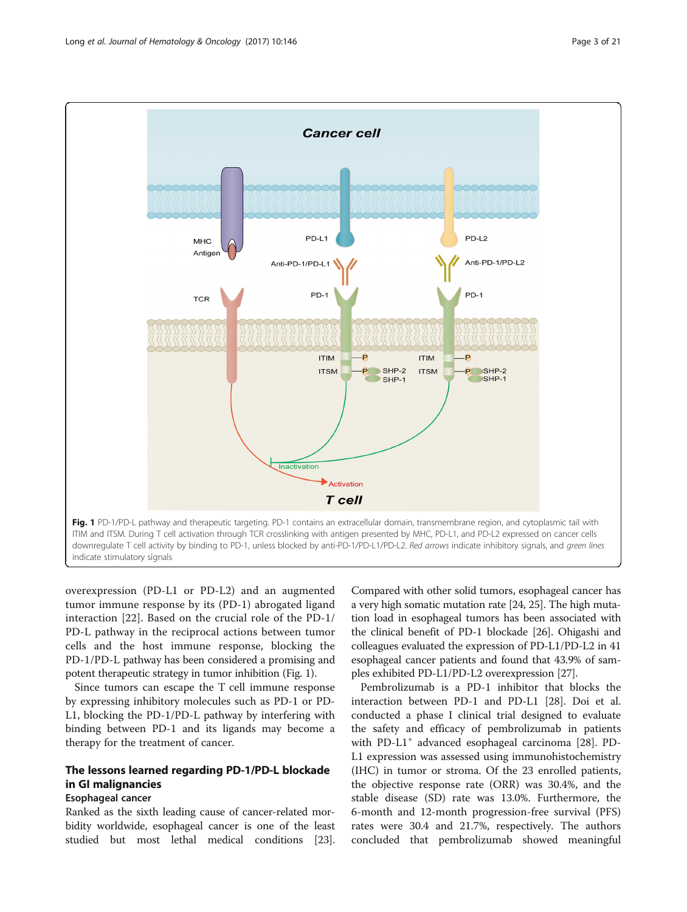<span id="page-2-0"></span>

overexpression (PD-L1 or PD-L2) and an augmented tumor immune response by its (PD-1) abrogated ligand interaction [[22\]](#page-17-0). Based on the crucial role of the PD-1/ PD-L pathway in the reciprocal actions between tumor cells and the host immune response, blocking the PD-1/PD-L pathway has been considered a promising and potent therapeutic strategy in tumor inhibition (Fig. 1).

Since tumors can escape the T cell immune response by expressing inhibitory molecules such as PD-1 or PD-L1, blocking the PD-1/PD-L pathway by interfering with binding between PD-1 and its ligands may become a therapy for the treatment of cancer.

# The lessons learned regarding PD-1/PD-L blockade in GI malignancies

### Esophageal cancer

Ranked as the sixth leading cause of cancer-related morbidity worldwide, esophageal cancer is one of the least studied but most lethal medical conditions [[23](#page-17-0)].

Compared with other solid tumors, esophageal cancer has a very high somatic mutation rate [\[24, 25](#page-17-0)]. The high mutation load in esophageal tumors has been associated with the clinical benefit of PD-1 blockade [[26\]](#page-17-0). Ohigashi and colleagues evaluated the expression of PD-L1/PD-L2 in 41 esophageal cancer patients and found that 43.9% of samples exhibited PD-L1/PD-L2 overexpression [\[27\]](#page-17-0).

Pembrolizumab is a PD-1 inhibitor that blocks the interaction between PD-1 and PD-L1 [[28\]](#page-17-0). Doi et al. conducted a phase I clinical trial designed to evaluate the safety and efficacy of pembrolizumab in patients with  $PD-L1^+$  advanced esophageal carcinoma [[28\]](#page-17-0). PD-L1 expression was assessed using immunohistochemistry (IHC) in tumor or stroma. Of the 23 enrolled patients, the objective response rate (ORR) was 30.4%, and the stable disease (SD) rate was 13.0%. Furthermore, the 6-month and 12-month progression-free survival (PFS) rates were 30.4 and 21.7%, respectively. The authors concluded that pembrolizumab showed meaningful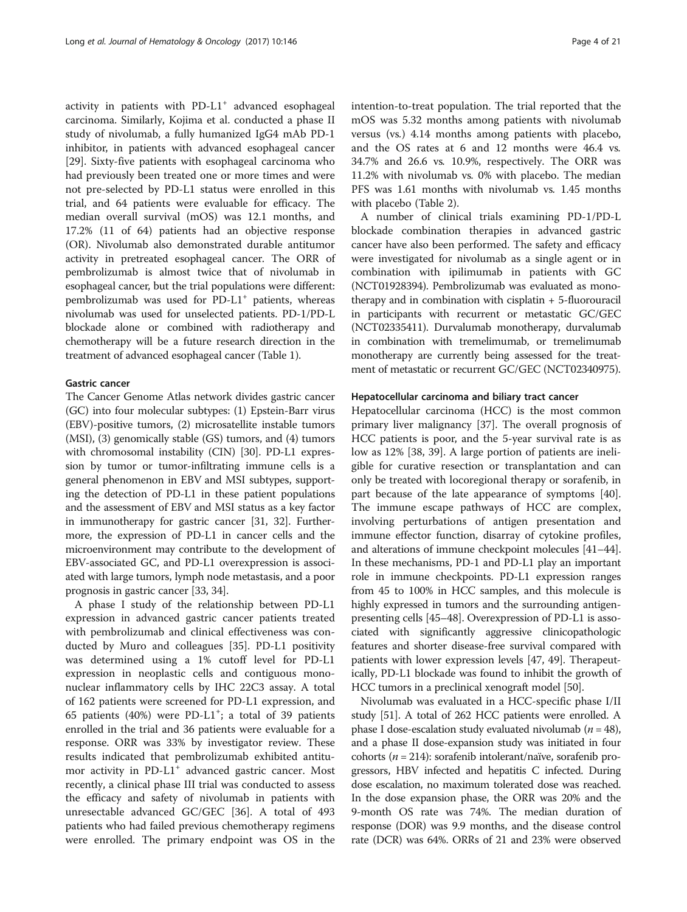activity in patients with  $PD-L1^+$  advanced esophageal carcinoma. Similarly, Kojima et al. conducted a phase II study of nivolumab, a fully humanized IgG4 mAb PD-1 inhibitor, in patients with advanced esophageal cancer [[29\]](#page-17-0). Sixty-five patients with esophageal carcinoma who had previously been treated one or more times and were not pre-selected by PD-L1 status were enrolled in this trial, and 64 patients were evaluable for efficacy. The median overall survival (mOS) was 12.1 months, and 17.2% (11 of 64) patients had an objective response (OR). Nivolumab also demonstrated durable antitumor activity in pretreated esophageal cancer. The ORR of pembrolizumab is almost twice that of nivolumab in esophageal cancer, but the trial populations were different: pembrolizumab was used for  $PD-L1^+$  patients, whereas nivolumab was used for unselected patients. PD-1/PD-L blockade alone or combined with radiotherapy and chemotherapy will be a future research direction in the treatment of advanced esophageal cancer (Table [1\)](#page-4-0).

#### Gastric cancer

The Cancer Genome Atlas network divides gastric cancer (GC) into four molecular subtypes: (1) Epstein-Barr virus (EBV)-positive tumors, (2) microsatellite instable tumors (MSI), (3) genomically stable (GS) tumors, and (4) tumors with chromosomal instability (CIN) [\[30](#page-17-0)]. PD-L1 expression by tumor or tumor-infiltrating immune cells is a general phenomenon in EBV and MSI subtypes, supporting the detection of PD-L1 in these patient populations and the assessment of EBV and MSI status as a key factor in immunotherapy for gastric cancer [[31](#page-17-0), [32\]](#page-17-0). Furthermore, the expression of PD-L1 in cancer cells and the microenvironment may contribute to the development of EBV-associated GC, and PD-L1 overexpression is associated with large tumors, lymph node metastasis, and a poor prognosis in gastric cancer [\[33, 34\]](#page-17-0).

A phase I study of the relationship between PD-L1 expression in advanced gastric cancer patients treated with pembrolizumab and clinical effectiveness was conducted by Muro and colleagues [[35\]](#page-17-0). PD-L1 positivity was determined using a 1% cutoff level for PD-L1 expression in neoplastic cells and contiguous mononuclear inflammatory cells by IHC 22C3 assay. A total of 162 patients were screened for PD-L1 expression, and 65 patients  $(40%)$  were PD-L1<sup>+</sup>; a total of 39 patients enrolled in the trial and 36 patients were evaluable for a response. ORR was 33% by investigator review. These results indicated that pembrolizumab exhibited antitumor activity in PD-L1<sup>+</sup> advanced gastric cancer. Most recently, a clinical phase III trial was conducted to assess the efficacy and safety of nivolumab in patients with unresectable advanced GC/GEC [[36\]](#page-17-0). A total of 493 patients who had failed previous chemotherapy regimens were enrolled. The primary endpoint was OS in the intention-to-treat population. The trial reported that the mOS was 5.32 months among patients with nivolumab versus (vs.) 4.14 months among patients with placebo, and the OS rates at 6 and 12 months were 46.4 vs. 34.7% and 26.6 vs. 10.9%, respectively. The ORR was 11.2% with nivolumab vs. 0% with placebo. The median PFS was 1.61 months with nivolumab vs. 1.45 months with placebo (Table [2\)](#page-5-0).

A number of clinical trials examining PD-1/PD-L blockade combination therapies in advanced gastric cancer have also been performed. The safety and efficacy were investigated for nivolumab as a single agent or in combination with ipilimumab in patients with GC (NCT01928394). Pembrolizumab was evaluated as monotherapy and in combination with cisplatin + 5-fluorouracil in participants with recurrent or metastatic GC/GEC (NCT02335411). Durvalumab monotherapy, durvalumab in combination with tremelimumab, or tremelimumab monotherapy are currently being assessed for the treatment of metastatic or recurrent GC/GEC (NCT02340975).

#### Hepatocellular carcinoma and biliary tract cancer

Hepatocellular carcinoma (HCC) is the most common primary liver malignancy [\[37](#page-17-0)]. The overall prognosis of HCC patients is poor, and the 5-year survival rate is as low as 12% [\[38](#page-17-0), [39](#page-17-0)]. A large portion of patients are ineligible for curative resection or transplantation and can only be treated with locoregional therapy or sorafenib, in part because of the late appearance of symptoms [\[40](#page-17-0)]. The immune escape pathways of HCC are complex, involving perturbations of antigen presentation and immune effector function, disarray of cytokine profiles, and alterations of immune checkpoint molecules [\[41](#page-17-0)–[44](#page-17-0)]. In these mechanisms, PD-1 and PD-L1 play an important role in immune checkpoints. PD-L1 expression ranges from 45 to 100% in HCC samples, and this molecule is highly expressed in tumors and the surrounding antigenpresenting cells [\[45](#page-17-0)–[48](#page-18-0)]. Overexpression of PD-L1 is associated with significantly aggressive clinicopathologic features and shorter disease-free survival compared with patients with lower expression levels [\[47, 49](#page-18-0)]. Therapeutically, PD-L1 blockade was found to inhibit the growth of HCC tumors in a preclinical xenograft model [[50](#page-18-0)].

Nivolumab was evaluated in a HCC-specific phase I/II study [[51](#page-18-0)]. A total of 262 HCC patients were enrolled. A phase I dose-escalation study evaluated nivolumab ( $n = 48$ ), and a phase II dose-expansion study was initiated in four cohorts ( $n = 214$ ): sorafenib intolerant/naïve, sorafenib progressors, HBV infected and hepatitis C infected. During dose escalation, no maximum tolerated dose was reached. In the dose expansion phase, the ORR was 20% and the 9-month OS rate was 74%. The median duration of response (DOR) was 9.9 months, and the disease control rate (DCR) was 64%. ORRs of 21 and 23% were observed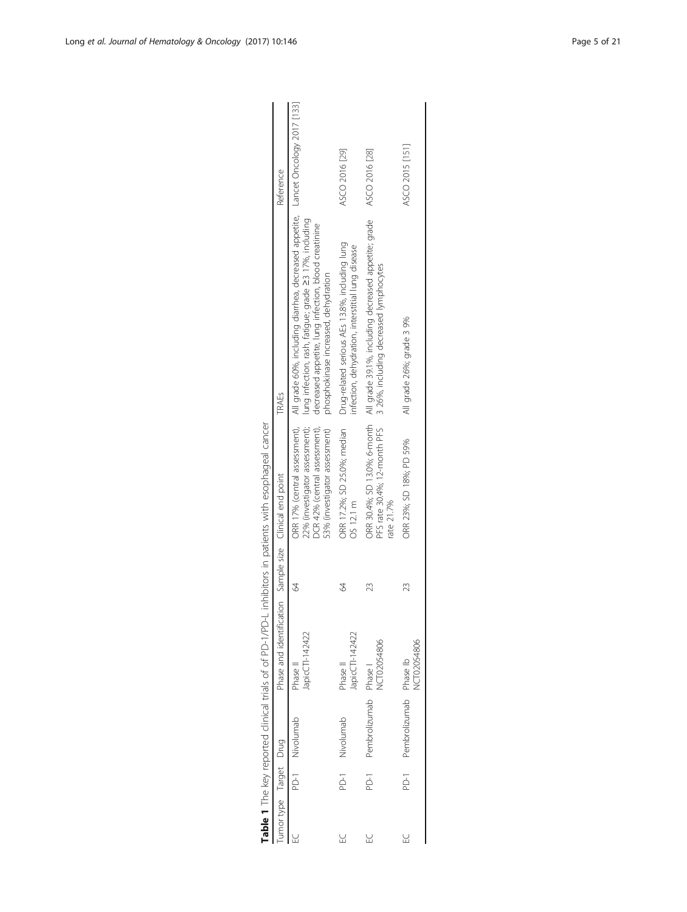<span id="page-4-0"></span>

|                       |                |                        |                                                         |    | Table 1 The key reported clinical trials of of PD-1/PD-L inhibitors in patients with esophageal cancer                            |                                                                                                                                                                                                                                             |                 |
|-----------------------|----------------|------------------------|---------------------------------------------------------|----|-----------------------------------------------------------------------------------------------------------------------------------|---------------------------------------------------------------------------------------------------------------------------------------------------------------------------------------------------------------------------------------------|-----------------|
| umor type Target Drug |                |                        | Phase and identification Sample size Clinical end point |    |                                                                                                                                   | TRAES                                                                                                                                                                                                                                       | Reference       |
|                       |                | PD-1 Nivolumab         | JapicCTI-142422<br>Phase II                             | 64 | ORR 17% (central assessment),<br>53% (investigator assessment)<br>22% (investigator assessment);<br>DCR 42% (central assessment), | All grade 60%, including diarrhea, decreased appetite, Lancet Oncology 2017 [133]<br>lung infection, rash, fatigue; grade 23 17%, including<br>decreased appetite, lung infection, blood creatinine<br>phosphokinase increased, dehydration |                 |
| Y                     | .<br>이         | Nivolumab              | $la$ CCTI-142422<br>Phase II                            | 64 | ORR 17.2%; SD 25.0%; median<br>OS 12.1 m                                                                                          | Drug-related serious AEs 13.8%, including lung<br>infection, dehydration, interstitial lung disease                                                                                                                                         | ASCO 2016 [29]  |
| Y                     | $\overline{P}$ | Pembrolizumab Phase I  | NCT02054806                                             | 23 | PFS rate 30.4%; 12-month PFS<br>rate 21.7%                                                                                        | ORR 30.4%; SD 13.0%; 6-month All grade 39.1%, including decreased appetite; grade<br>3 26%, including decreased lymphocytes                                                                                                                 | ASCO 2016 [28]  |
| Y                     | .<br>아니        | Pembrolizumab Phase Ib | VCT02054806                                             | 23 | ORR 23%; SD 18%; PD 59%                                                                                                           | All grade 26%; grade 3 9%                                                                                                                                                                                                                   | ASCO 2015 [151] |
|                       |                |                        |                                                         |    |                                                                                                                                   |                                                                                                                                                                                                                                             |                 |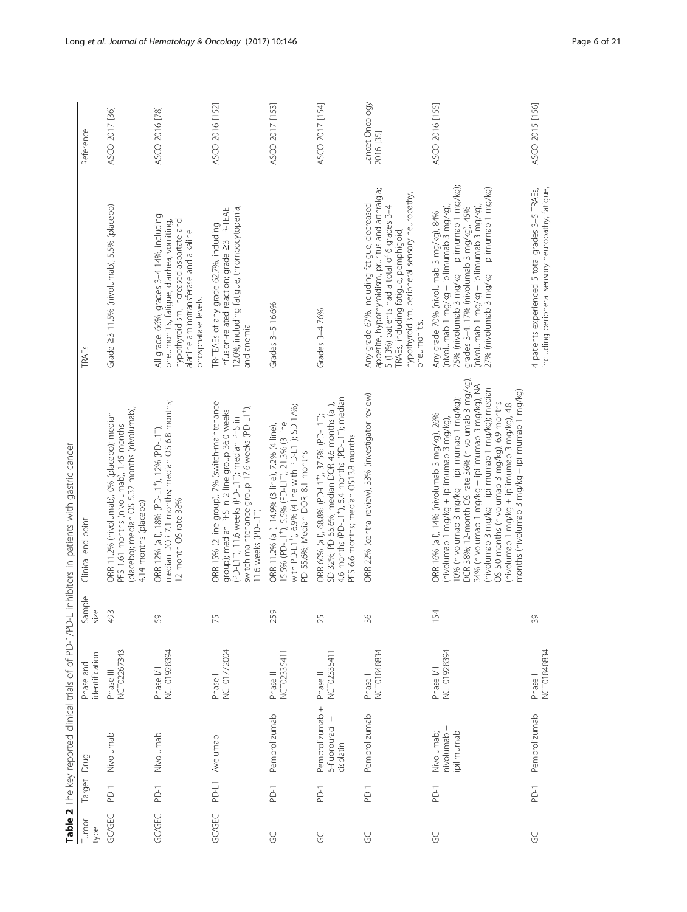<span id="page-5-0"></span>

|               |                   |                                                  |                             |                | Table 2 The key reported clinical trials of of PD-1/PD-L inhibitors in patients with gastric cancer                                                                                                                                                                                                                                                                                                                                                          |                                                                                                                                                                                                                                                                             |                              |
|---------------|-------------------|--------------------------------------------------|-----------------------------|----------------|--------------------------------------------------------------------------------------------------------------------------------------------------------------------------------------------------------------------------------------------------------------------------------------------------------------------------------------------------------------------------------------------------------------------------------------------------------------|-----------------------------------------------------------------------------------------------------------------------------------------------------------------------------------------------------------------------------------------------------------------------------|------------------------------|
| Tumor<br>type | Target            | Drug                                             | identification<br>Phase and | Sample<br>size | Clinical end point                                                                                                                                                                                                                                                                                                                                                                                                                                           | TRAES                                                                                                                                                                                                                                                                       | Reference                    |
| GC/GEC        | PD-1              | Nivolumab                                        | NCT02267343<br>Phase III    | 493            | (placebo); median OS 5.32 months (nivolumab),<br>ORR 11.2% (nivolumab), 0% (placebo); median<br>PFS 1.61 months (nivolumab), 1.45 months<br>4.14 months (placebo)                                                                                                                                                                                                                                                                                            | Grade 23 11.5% (nivolumab), 5.5% (placebo)                                                                                                                                                                                                                                  | ASCO 2017 [36]               |
| GC/GEC        | PD-1              | Nivolumab                                        | NCT01928394<br>Phase I/II   | $50\,$         | median DOR 7.1 months; median OS 6.8 months;<br>ORR 12% (all), 18% (PD-L1 <sup>+</sup> ), 12% (PD-L1 <sup>-</sup> );<br>12-month OS rate 38%                                                                                                                                                                                                                                                                                                                 | All grade: 66%; grades 3-4 14%, including<br>hypothyroidism, increased aspartate and<br>pneumonitis, fatigue, diarrhea, vomiting,<br>alanine aminotransferase and alkaline<br>phosphatase levels.                                                                           | ASCO 2016 [78]               |
| GC/GEC        | PD-L1             | Avelumab                                         | NCT01772004<br>Phase I      | 75             | ORR 15% (2 line group), 7% (switch-maintenance<br>group); median PFS in 2 line group 36.0 weeks<br>switch-maintenance group 17.6 weeks (PD-L1+),<br>(PD-L1 <sup>+</sup> ), 11.6 weeks (PD-L1 <sup>-</sup> ); median PFS in<br>11.6 weeks (PD-L1 <sup>-</sup> )                                                                                                                                                                                               | 12.0%, including fatigue, thrombocytopenia,<br>infusion-related reaction; grade 23 TR-TEAE<br>TR-TEAEs of any grade 62.7%, including<br>and anemia                                                                                                                          | ASCO 2016 [152]              |
| 8             | $\bar{\triangle}$ | Pembrolizumab                                    | NCT02335411<br>Phase II     | 259            | with PD-L1+), 6.9% (4 line with PD-L1+); SD 17%;<br>ORR 11.2% (all), 14.9% (3 line), 7.2% (4 line),<br>15.5% (PD-L1 <sup>+</sup> ), 5.5% (PD-L1 <sup>-</sup> ), 21.3% (3 line<br>PD 55.6%; Median DOR: 8.1 months                                                                                                                                                                                                                                            | Grades 3-5 16.6%                                                                                                                                                                                                                                                            | ASCO 2017 [153]              |
| Y             | PD-1              | Pembrolizumab +<br>5-fluorouracil +<br>cisplatin | NCT02335411<br>Phase II     | 25             | 4.6 months (PD-L1 <sup>+</sup> ), 5.4 months (PD-L1 <sup>-</sup> ); median<br>SD 32%; PD 55.6%; median DOR 4.6 months (all),<br>ORR 60% (all), 68.8% (PD-L1+), 37.5% (PD-L1-);<br>PFS 6.6 months; median OS13.8 months                                                                                                                                                                                                                                       | Grades 3-476%                                                                                                                                                                                                                                                               | ASCO 2017 [154]              |
| Y             | PD-1              | Pembrolizumab                                    | NCT01848834<br>Phase I      | 36             | ORR 22% (central review), 33% (investigator review)                                                                                                                                                                                                                                                                                                                                                                                                          | appetite, hypothyroidism, pruritus and arthralgia;<br>hypothyroidism, peripheral sensory neuropathy,<br>Any grade 67%, including fatigue, decreased<br>5 (13%) patients had a total of 6 grades 3-4<br>TRAEs, including fatigue, pemphigoid,<br>pneumonitis.                | Lancet Oncology<br>2016 [35] |
| Y             | PD-1              | nivolumab +<br>Nivolumab;<br>pilimumab           | NCT01928394<br>Phase I/II   | 54             | OCR 38%; 12-month OS rate 36% (nivolumab 3 mg/kg),<br>34% (nivolumab 1 mg/kg + ipilimumab 3 mg/kg), NA<br>(nivolumab 3 mg/kg + ipilimumab 1 mg/kg); median<br>(nivolumab 1 mg/kg + ipilimumab 3 mg/kg), 4.8<br>months (nivolumab 3 mg/kg + ipilimumab 1 mg/kg)<br>(nivolumab 1 mg/kg + ipilimumab 3 mg/kg),<br>10% (nivolumab 3 mg/kg + ipilimumab 1 mg/kg);<br>OS 5.0 months (nivolumab 3 mg/kg), 6.9 months<br>ORR 16% (all), 14% (nivolumab 3 mg/kg), 26% | 75% (nivolumab 3 mg/kg + ipilimumab 1 mg/kg);<br>27% (nivolumab 3 mg/kg + ipilimumab 1 mg/kg)<br>(nivolumab 1 mg/kg + ipilimumab 3 mg/kg)<br>(nivolumab 1 mg/kg + ipilimumab 3 mg/kg)<br>grades 3-4: 17% (nivolumab 3 mg/kg), 45%<br>Any grade 70% (nivolumab 3 mg/kg), 84% | ASCO 2016 [155]              |
| Y             | PD-1              | Pembrolizumab                                    | NCT01848834<br>Phase I      | 59             |                                                                                                                                                                                                                                                                                                                                                                                                                                                              | including peripheral sensory neuropathy, fatigue,<br>4 patients experienced 5 total grades 3-5 TRAEs,                                                                                                                                                                       | ASCO 2015 [156]              |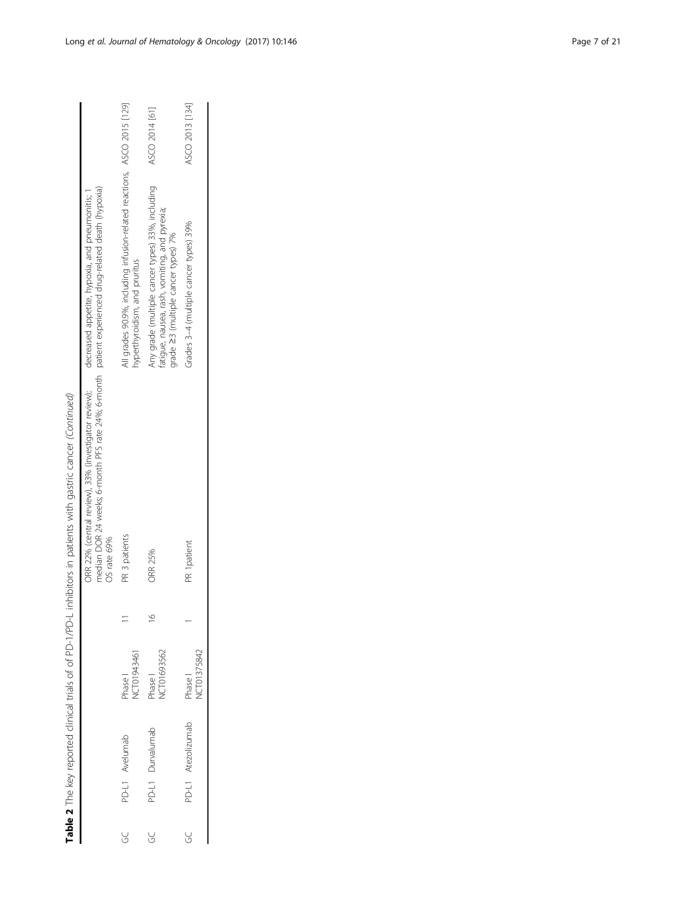| S                                      |  |
|----------------------------------------|--|
|                                        |  |
|                                        |  |
|                                        |  |
| ζ                                      |  |
|                                        |  |
|                                        |  |
| i                                      |  |
|                                        |  |
|                                        |  |
|                                        |  |
|                                        |  |
|                                        |  |
| J                                      |  |
|                                        |  |
|                                        |  |
|                                        |  |
|                                        |  |
|                                        |  |
| j                                      |  |
|                                        |  |
|                                        |  |
| ニュンション                                 |  |
|                                        |  |
|                                        |  |
|                                        |  |
| ī                                      |  |
| J                                      |  |
|                                        |  |
|                                        |  |
|                                        |  |
|                                        |  |
| Ì<br>Į                                 |  |
|                                        |  |
|                                        |  |
| $\overline{ }$                         |  |
|                                        |  |
| 5<br>-<br>-                            |  |
|                                        |  |
| 5)<br>5)                               |  |
|                                        |  |
|                                        |  |
| A clinicial t<br>J<br>5                |  |
| $\frac{1}{2}$                          |  |
| ١                                      |  |
|                                        |  |
|                                        |  |
|                                        |  |
|                                        |  |
|                                        |  |
| l                                      |  |
| $\frac{1}{2}$                          |  |
| ֧֦֧֦֧֦֧֦֧֦֧֦֧֧֦֧֦֧֦֧֧֦֧֦֧֦֧֧֛֓֝֝֝֝֜֜֜֜ |  |
|                                        |  |
|                                        |  |
|                                        |  |

| ASCO 2013 [134] | Grades 3-4 (multiple cancer types) 39%                                                                                                  | PR 1 patient                                                                                                                                                               | Phase  <br>NCT01375842        | PD-L1 Atezolizumab | Y |
|-----------------|-----------------------------------------------------------------------------------------------------------------------------------------|----------------------------------------------------------------------------------------------------------------------------------------------------------------------------|-------------------------------|--------------------|---|
| ASCO 2014 [61]  | Any grade (multiple cancer types) 33%, including<br>atigue, nausea, rash, vomiting, and pyrexia;<br>grade 23 (multiple cancer types) 7% | ORR 25%                                                                                                                                                                    | <b>JCT01693562</b><br>Phase I | PD-L1 Durvalumab   | Y |
|                 | All grades 90.9%, including infusion-related reactions, ASCO 2015 [129]<br>hyperthyroidism, and pruritus                                | PR 3 patients                                                                                                                                                              | Phase  <br>NCT01943461        | Avelumab<br>PD-L1  | Y |
|                 | decreased appetite, hypoxia, and pneumonitis; 1                                                                                         | median DOR 24 weeks; 6-month PFS rate 24%; 6-month patient experienced drug-related death (hypoxia)<br>ORR 22% (central review), 33% (investigator review);<br>OS rate 69% |                               |                    |   |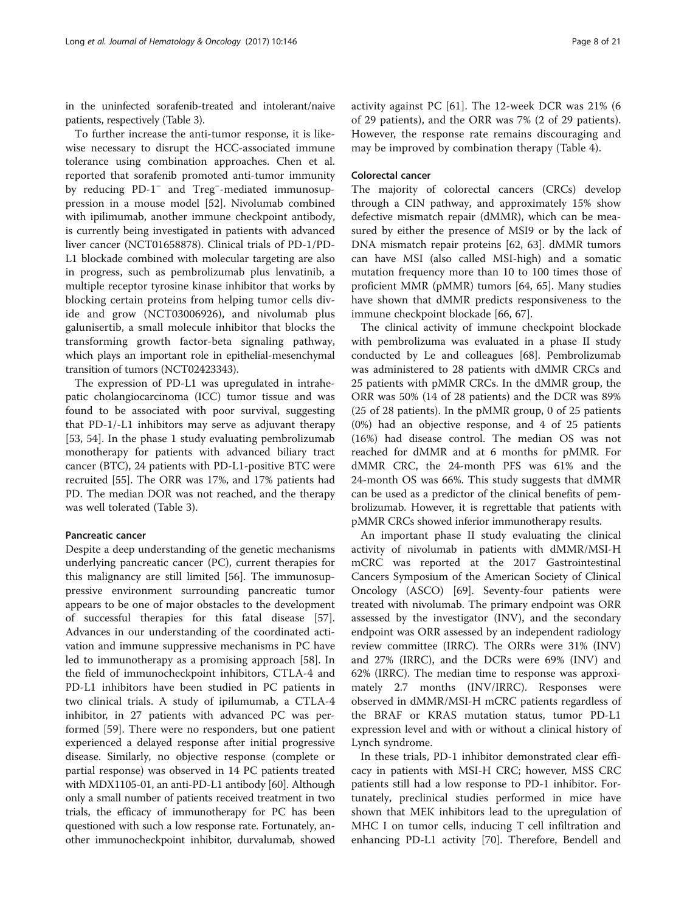in the uninfected sorafenib-treated and intolerant/naive patients, respectively (Table [3\)](#page-8-0).

To further increase the anti-tumor response, it is likewise necessary to disrupt the HCC-associated immune tolerance using combination approaches. Chen et al. reported that sorafenib promoted anti-tumor immunity by reducing PD-1<sup>−</sup> and Treg<sup>−</sup> -mediated immunosuppression in a mouse model [[52\]](#page-18-0). Nivolumab combined with ipilimumab, another immune checkpoint antibody, is currently being investigated in patients with advanced liver cancer (NCT01658878). Clinical trials of PD-1/PD-L1 blockade combined with molecular targeting are also in progress, such as pembrolizumab plus lenvatinib, a multiple receptor tyrosine kinase inhibitor that works by blocking certain proteins from helping tumor cells divide and grow (NCT03006926), and nivolumab plus galunisertib, a small molecule inhibitor that blocks the transforming growth factor-beta signaling pathway, which plays an important role in epithelial-mesenchymal transition of tumors (NCT02423343).

The expression of PD-L1 was upregulated in intrahepatic cholangiocarcinoma (ICC) tumor tissue and was found to be associated with poor survival, suggesting that PD-1/-L1 inhibitors may serve as adjuvant therapy [[53, 54\]](#page-18-0). In the phase 1 study evaluating pembrolizumab monotherapy for patients with advanced biliary tract cancer (BTC), 24 patients with PD-L1-positive BTC were recruited [\[55\]](#page-18-0). The ORR was 17%, and 17% patients had PD. The median DOR was not reached, and the therapy was well tolerated (Table [3](#page-8-0)).

### Pancreatic cancer

Despite a deep understanding of the genetic mechanisms underlying pancreatic cancer (PC), current therapies for this malignancy are still limited [\[56\]](#page-18-0). The immunosuppressive environment surrounding pancreatic tumor appears to be one of major obstacles to the development of successful therapies for this fatal disease [\[57](#page-18-0)]. Advances in our understanding of the coordinated activation and immune suppressive mechanisms in PC have led to immunotherapy as a promising approach [\[58\]](#page-18-0). In the field of immunocheckpoint inhibitors, CTLA-4 and PD-L1 inhibitors have been studied in PC patients in two clinical trials. A study of ipilumumab, a CTLA-4 inhibitor, in 27 patients with advanced PC was performed [[59\]](#page-18-0). There were no responders, but one patient experienced a delayed response after initial progressive disease. Similarly, no objective response (complete or partial response) was observed in 14 PC patients treated with MDX1105-01, an anti-PD-L1 antibody [[60](#page-18-0)]. Although only a small number of patients received treatment in two trials, the efficacy of immunotherapy for PC has been questioned with such a low response rate. Fortunately, another immunocheckpoint inhibitor, durvalumab, showed activity against PC [[61\]](#page-18-0). The 12-week DCR was 21% (6 of 29 patients), and the ORR was 7% (2 of 29 patients). However, the response rate remains discouraging and may be improved by combination therapy (Table [4](#page-9-0)).

### Colorectal cancer

The majority of colorectal cancers (CRCs) develop through a CIN pathway, and approximately 15% show defective mismatch repair (dMMR), which can be measured by either the presence of MSI9 or by the lack of DNA mismatch repair proteins [[62](#page-18-0), [63](#page-18-0)]. dMMR tumors can have MSI (also called MSI-high) and a somatic mutation frequency more than 10 to 100 times those of proficient MMR (pMMR) tumors [[64, 65](#page-18-0)]. Many studies have shown that dMMR predicts responsiveness to the immune checkpoint blockade [[66, 67\]](#page-18-0).

The clinical activity of immune checkpoint blockade with pembrolizuma was evaluated in a phase II study conducted by Le and colleagues [[68](#page-18-0)]. Pembrolizumab was administered to 28 patients with dMMR CRCs and 25 patients with pMMR CRCs. In the dMMR group, the ORR was 50% (14 of 28 patients) and the DCR was 89% (25 of 28 patients). In the pMMR group, 0 of 25 patients (0%) had an objective response, and 4 of 25 patients (16%) had disease control. The median OS was not reached for dMMR and at 6 months for pMMR. For dMMR CRC, the 24-month PFS was 61% and the 24-month OS was 66%. This study suggests that dMMR can be used as a predictor of the clinical benefits of pembrolizumab. However, it is regrettable that patients with pMMR CRCs showed inferior immunotherapy results.

An important phase II study evaluating the clinical activity of nivolumab in patients with dMMR/MSI-H mCRC was reported at the 2017 Gastrointestinal Cancers Symposium of the American Society of Clinical Oncology (ASCO) [[69\]](#page-18-0). Seventy-four patients were treated with nivolumab. The primary endpoint was ORR assessed by the investigator (INV), and the secondary endpoint was ORR assessed by an independent radiology review committee (IRRC). The ORRs were 31% (INV) and 27% (IRRC), and the DCRs were 69% (INV) and 62% (IRRC). The median time to response was approximately 2.7 months (INV/IRRC). Responses were observed in dMMR/MSI-H mCRC patients regardless of the BRAF or KRAS mutation status, tumor PD-L1 expression level and with or without a clinical history of Lynch syndrome.

In these trials, PD-1 inhibitor demonstrated clear efficacy in patients with MSI-H CRC; however, MSS CRC patients still had a low response to PD-1 inhibitor. Fortunately, preclinical studies performed in mice have shown that MEK inhibitors lead to the upregulation of MHC I on tumor cells, inducing T cell infiltration and enhancing PD-L1 activity [[70](#page-18-0)]. Therefore, Bendell and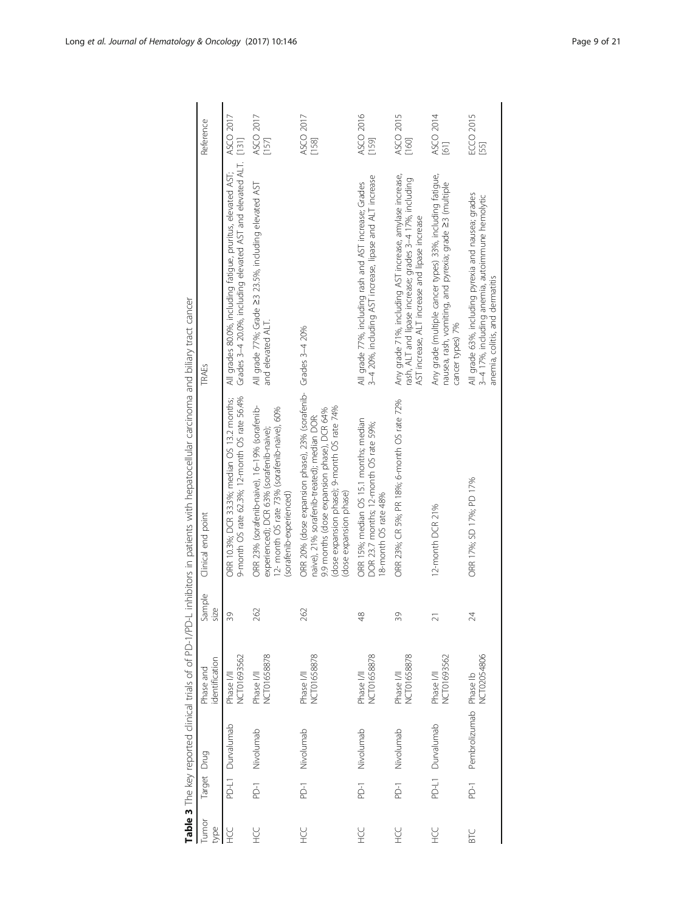<span id="page-8-0"></span>

|               |             |                             | Table 3 The key reported clinical trials of of PD-1/PD-L |                 | inhibitors in patients with hepatocellular carcinoma and biliary tract cancer                                                                                                                                                        |                                                                                                                                                                        |                              |
|---------------|-------------|-----------------------------|----------------------------------------------------------|-----------------|--------------------------------------------------------------------------------------------------------------------------------------------------------------------------------------------------------------------------------------|------------------------------------------------------------------------------------------------------------------------------------------------------------------------|------------------------------|
| Tumor<br>type | Target Drug |                             | identification<br>Phase and                              | Sample<br>size  | Clinical end point                                                                                                                                                                                                                   | TRAES                                                                                                                                                                  | Reference                    |
| š             |             | PD-L1 Durvalumab            | Phase I/II<br>NCT01693562                                | 39              | 9-month OS rate 62.3%; 12-month OS rate 56.4%<br>ORR 10.3%; DCR 33.3%; median OS 13.2 months;                                                                                                                                        | Grades 3-4 20.0%, including elevated AST and elevated ALT. [131]<br>All grades 80.0%, including fatigue, pruritus, elevated AST;                                       | ASCO 2017                    |
| ¥             |             | PD-1 Nivolumab              | NCT01658878<br>Phase I/II                                | 262             | ORR 23% (sorafenib-naive), 16-19% (sorafenib-<br>12- month OS rate 73% (sorafenib-naive), 60%<br>experienced); DCR 63% (sorafenib-naive);<br>(sorafenib-experienced)                                                                 | All grade 77%; Grade 23 23.5%, including elevated AST<br>and elevated ALT.                                                                                             | ASCO 2017<br>$[157]$         |
| YY            |             | PD-1 Nivolumab              | NCT01658878<br>Phase I/II                                | 262             | ORR 20% (dose expansion phase), 23% (sorafenib- Grades 3-4 20%<br>(dose expansion phase); 9-month OS rate 74%<br>9.9 months (dose expansion phase), DCR 64%<br>naive), 21% sorafenib-treated); median DOR:<br>(dose expansion phase) |                                                                                                                                                                        | ASCO 2017<br>[158]           |
| у<br>У        |             | PD-1 Nivolumab              | NCT01658878<br>Phase I/II                                | 48              | ORR 15%; median OS 15.1 months; median<br>DOR 23.7 months; 12-month OS rate 59%;<br>8-month OS rate 48%                                                                                                                              | 3-4 20%, including AST increase, lipase and ALT increase<br>All grade 77%, including rash and AST increase; Grades                                                     | ASCO 2016<br>[159]           |
| YY            |             | PD-1 Nivolumab              | Phase I/II<br>NCT01658878                                | 39              | ORR 23%; CR 5%; PR 18%; 6-month OS rate 72%                                                                                                                                                                                          | Any grade 71%, including AST increase, amylase increase,<br>rash, ALT and lipase increase; grades 3-4 17%, including<br>AST increase, ALT increase and lipase increase | ASCO 2015<br>$[160]$         |
| ¥             |             | PD-L1 Durvalumab            | Phase I/II<br>NCT01693562                                | $\overline{21}$ | 12-month DCR 21%                                                                                                                                                                                                                     | Any grade (multiple cancer types) 33%, including fatigue,<br>nasea, rash, vomiting, and pyrexia; grade 23 (multiple<br>cancer types) 7%                                | ASCO 2014<br>$\overline{51}$ |
| <b>DLE</b>    |             | PD-1 Pembrolizumab Phase Ib | NCT02054806                                              | 24              | ORR 17%; SD 17%; PD 17%                                                                                                                                                                                                              | All grade 63%, including pyrexia and nausea; grades<br>3-4 17%, including anemia, autoimmune hemolytic<br>anemia, colitis, and dermatitis                              | ECCO 2015<br>[55]            |
|               |             |                             |                                                          |                 |                                                                                                                                                                                                                                      |                                                                                                                                                                        |                              |

**Table 3** The key reported clinical trials of of PD-1/PD-L inhibitors in patients with hepatocellular carcinoma and biliary tract cancer  $\frac{1}{3}$  $\cdot$  $\ddot{\cdot}$ ∝ :ا:⊾ لہ Ŀ,  $\frac{1}{2}$ j. ے<br>مط J,  $\frac{1}{4}$  $\cdot$ <sup>9</sup> of of DD-1/BD-Lipbibito  $\frac{1}{2}$ ्रे  $\ddot{z}$  $\tilde{\mathcal{L}}$  $\frac{1}{2}$  $\alpha$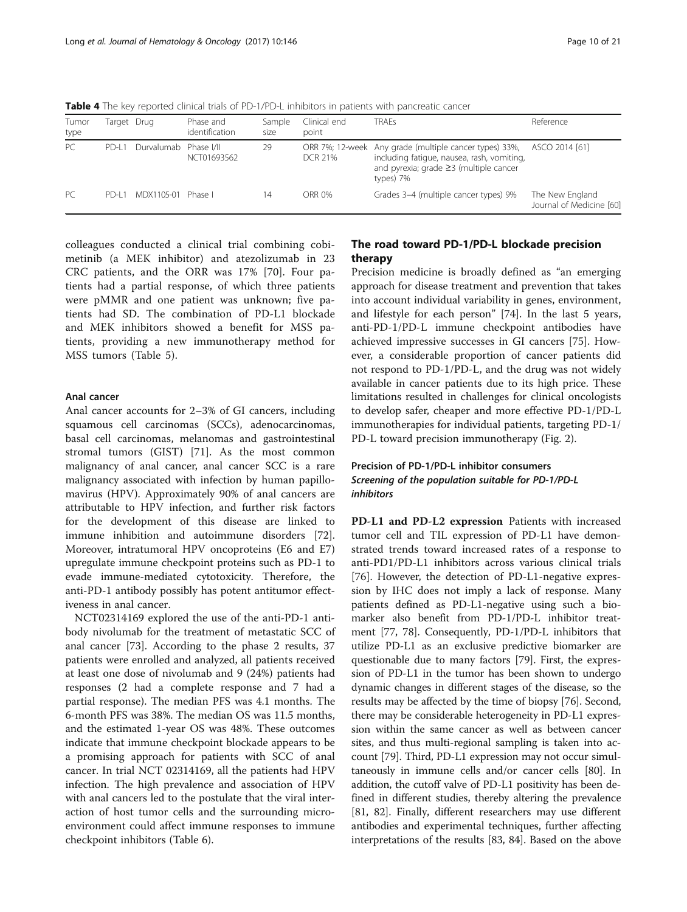<span id="page-9-0"></span>

|  |  | <b>Table 4</b> The key reported clinical trials of PD-1/PD-L inhibitors in patients with pancreatic cancer |  |
|--|--|------------------------------------------------------------------------------------------------------------|--|
|--|--|------------------------------------------------------------------------------------------------------------|--|

| Tumor<br>type | Target Drug |                       | Phase and<br>identification | Sample<br>size | Clinical end<br>point | <b>TRAES</b>                                                                                                                                                                     | Reference                                   |
|---------------|-------------|-----------------------|-----------------------------|----------------|-----------------------|----------------------------------------------------------------------------------------------------------------------------------------------------------------------------------|---------------------------------------------|
| PC.           | $PD-11$     | Durvalumab Phase I/II | NCT01693562                 | 29             | <b>DCR 21%</b>        | ORR 7%; 12-week Any grade (multiple cancer types) 33%, ASCO 2014 [61]<br>including fatigue, nausea, rash, vomiting,<br>and pyrexia; grade $\geq$ 3 (multiple cancer<br>types) 7% |                                             |
| PC.           | $PD-11$     | MDX1105-01 Phase I    |                             | 14             | ORR 0%                | Grades 3-4 (multiple cancer types) 9%                                                                                                                                            | The New England<br>Journal of Medicine [60] |

colleagues conducted a clinical trial combining cobimetinib (a MEK inhibitor) and atezolizumab in 23 CRC patients, and the ORR was 17% [[70\]](#page-18-0). Four patients had a partial response, of which three patients were pMMR and one patient was unknown; five patients had SD. The combination of PD-L1 blockade and MEK inhibitors showed a benefit for MSS patients, providing a new immunotherapy method for MSS tumors (Table [5\)](#page-10-0).

# Anal cancer

Anal cancer accounts for 2–3% of GI cancers, including squamous cell carcinomas (SCCs), adenocarcinomas, basal cell carcinomas, melanomas and gastrointestinal stromal tumors (GIST) [\[71](#page-18-0)]. As the most common malignancy of anal cancer, anal cancer SCC is a rare malignancy associated with infection by human papillomavirus (HPV). Approximately 90% of anal cancers are attributable to HPV infection, and further risk factors for the development of this disease are linked to immune inhibition and autoimmune disorders [\[72](#page-18-0)]. Moreover, intratumoral HPV oncoproteins (E6 and E7) upregulate immune checkpoint proteins such as PD-1 to evade immune-mediated cytotoxicity. Therefore, the anti-PD-1 antibody possibly has potent antitumor effectiveness in anal cancer.

NCT02314169 explored the use of the anti-PD-1 antibody nivolumab for the treatment of metastatic SCC of anal cancer [[73](#page-18-0)]. According to the phase 2 results, 37 patients were enrolled and analyzed, all patients received at least one dose of nivolumab and 9 (24%) patients had responses (2 had a complete response and 7 had a partial response). The median PFS was 4.1 months. The 6-month PFS was 38%. The median OS was 11.5 months, and the estimated 1-year OS was 48%. These outcomes indicate that immune checkpoint blockade appears to be a promising approach for patients with SCC of anal cancer. In trial NCT 02314169, all the patients had HPV infection. The high prevalence and association of HPV with anal cancers led to the postulate that the viral interaction of host tumor cells and the surrounding microenvironment could affect immune responses to immune checkpoint inhibitors (Table [6](#page-11-0)).

# The road toward PD-1/PD-L blockade precision therapy

Precision medicine is broadly defined as "an emerging approach for disease treatment and prevention that takes into account individual variability in genes, environment, and lifestyle for each person" [\[74](#page-18-0)]. In the last 5 years, anti-PD-1/PD-L immune checkpoint antibodies have achieved impressive successes in GI cancers [\[75](#page-18-0)]. However, a considerable proportion of cancer patients did not respond to PD-1/PD-L, and the drug was not widely available in cancer patients due to its high price. These limitations resulted in challenges for clinical oncologists to develop safer, cheaper and more effective PD-1/PD-L immunotherapies for individual patients, targeting PD-1/ PD-L toward precision immunotherapy (Fig. [2\)](#page-11-0).

# Precision of PD-1/PD-L inhibitor consumers Screening of the population suitable for PD-1/PD-L inhibitors

PD-L1 and PD-L2 expression Patients with increased tumor cell and TIL expression of PD-L1 have demonstrated trends toward increased rates of a response to anti-PD1/PD-L1 inhibitors across various clinical trials [[76\]](#page-18-0). However, the detection of PD-L1-negative expression by IHC does not imply a lack of response. Many patients defined as PD-L1-negative using such a biomarker also benefit from PD-1/PD-L inhibitor treatment [\[77, 78\]](#page-18-0). Consequently, PD-1/PD-L inhibitors that utilize PD-L1 as an exclusive predictive biomarker are questionable due to many factors [[79](#page-18-0)]. First, the expression of PD-L1 in the tumor has been shown to undergo dynamic changes in different stages of the disease, so the results may be affected by the time of biopsy [[76](#page-18-0)]. Second, there may be considerable heterogeneity in PD-L1 expression within the same cancer as well as between cancer sites, and thus multi-regional sampling is taken into account [\[79](#page-18-0)]. Third, PD-L1 expression may not occur simultaneously in immune cells and/or cancer cells [\[80\]](#page-18-0). In addition, the cutoff valve of PD-L1 positivity has been defined in different studies, thereby altering the prevalence [[81](#page-18-0), [82\]](#page-18-0). Finally, different researchers may use different antibodies and experimental techniques, further affecting interpretations of the results [\[83, 84\]](#page-18-0). Based on the above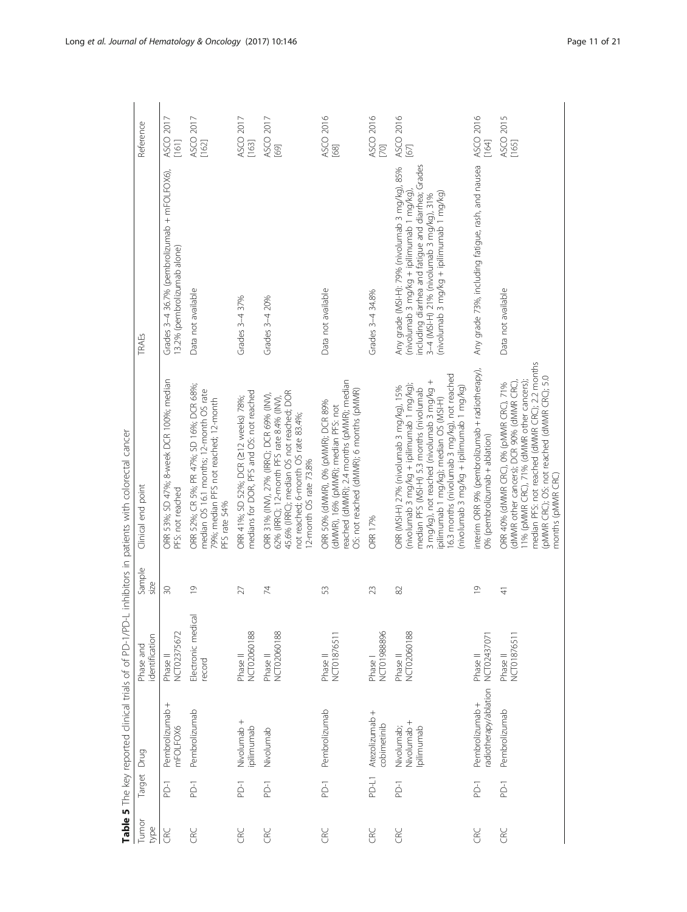<span id="page-10-0"></span>

|               |                | Table 5 The key reported clinical trials of of PD-1/PD- |                              |                | -L inhibitors in patients with colorectal cancer                                                                                                                                                                                                                                                                    |                                                                                                                                                                                                                                            |                        |
|---------------|----------------|---------------------------------------------------------|------------------------------|----------------|---------------------------------------------------------------------------------------------------------------------------------------------------------------------------------------------------------------------------------------------------------------------------------------------------------------------|--------------------------------------------------------------------------------------------------------------------------------------------------------------------------------------------------------------------------------------------|------------------------|
| Tumor<br>type | Target         | Drug                                                    | identification<br>Phase and  | Sample<br>size | Clinical end point                                                                                                                                                                                                                                                                                                  | TRAES                                                                                                                                                                                                                                      | Reference              |
| E             | PD-1           | Pembrolizumab +<br>nFOLFOX6                             | Phase II<br>NCT02375672      | $\infty$       | ORR 53%; SD 47%; 8-week DCR 100%; median<br>PFS: not reached                                                                                                                                                                                                                                                        | Grades 3-4 36.7% (pembrolizumab + mFOLFOX6),<br>13.2% (pembrolizumab alone)                                                                                                                                                                | 2017<br>ASCO:<br>[161] |
| GRC           | PD-1           | Pembrolizumab                                           | Electronic medical<br>record | $\overline{0}$ | ORR 52%; CR 5%; PR 47%; SD 16%; DCR 68%;<br>median OS 16.1 months; 12-month OS rate<br>79%; median PFS not reached; 12-month<br>PFS rate 54%                                                                                                                                                                        | Data not available                                                                                                                                                                                                                         | ASCO 2017<br>[162]     |
| GRC           | PD-1           | Nivolumab +<br>ipilimumab                               | NCT02060188<br>Phase II      | 27             | medians for DOR, PFS and OS: not reached<br>ORR 41%; SD 52%; DCR (212 weeks) 78%;                                                                                                                                                                                                                                   | Grades 3-4 37%                                                                                                                                                                                                                             | ASCO 2017<br>[163]     |
| GRC           | $\bar{P}$      | Nivolumab                                               | NCT02060188<br>Phase II      | 74             | 45.6% (IRRC); median OS not reached; DOR<br>ORR 31% (INV), 27% (IRRC); DCR 69% (INV),<br>62% (IRRC); 12-month PFS rate 8.4% (INV),<br>not reached; 6-month OS rate 83.4%;<br>12-month OS rate 73.8%                                                                                                                 | Grades 3-4 20%                                                                                                                                                                                                                             | ASCO 2017<br>[69]      |
| GRC           | PD-1           | Pembrolizumab                                           | Phase II<br>NCT01876511      | 53             | eached (dMMR); 2.4 months (pMMR); median<br>OS: not reached (dMMR); 6 months (pMMR)<br>ORR 50% (dMMR), 0% (pMMR); DCR 89%<br>(dMMR), 16% (pMMR); median PFS: not                                                                                                                                                    | Data not available                                                                                                                                                                                                                         | ASCO 2016<br>[68]      |
| E             | PD-L1          | Atezolizumab +<br>cobimetinib                           | NCT01988896<br>Phase I       | 23             | ORR 17%                                                                                                                                                                                                                                                                                                             | Grades 3-4 34.8%                                                                                                                                                                                                                           | ASCO 2016<br>$[70]$    |
| GRC           | $\bar{P}$      | Nivolumab+<br>Nivolumab;<br>pilimumab                   | NCT02060188<br>Phase II      | $\approx$      | 6.3 months (nivolumab 3 mg/kg), not reached<br>3 mg/kg), not reached (nivolumab 3 mg/kg +<br>(nivolumab 3 mg/kg + ipilimumab 1 mg/kg);<br>ORR (MSI-H) 27% (nivolumab 3 mg/kg), 15%<br>(nivolumab 3 mg/kg + ipilimumab 1 mg/kg)<br>median PFS (MSI-H) 5.3 months (nivolumab<br>pilimumab 1 mg/kg); median OS (MSI-H) | including diarrhea and fatigue and diarrhea; Grades<br>Any grade (MSI-H): 79% (nivolumab 3 mg/kg), 85%<br>(nivolumab 3 mg/kg + ipilimumab 1 mg/kg)<br>(nivolumab 3 mg/kg + ipilimumab 1 mg/kg)<br>3-4 (MSI-H) 21% (nivolumab 3 mg/kg), 31% | ASCO 2016<br>[67]      |
| E             | PD-1           | radiotherapy/ablation<br>Pembrolizumab +                | NCT02437071<br>Phase II      | $\overline{0}$ | interim ORR 9% (pembrolizumab + radiotherapy),<br>0% (pembrolizumab + ablation)                                                                                                                                                                                                                                     | Any grade 73%, including fatigue, rash, and nausea                                                                                                                                                                                         | ASCO 2016<br>$[164]$   |
| GRC           | $\overline{P}$ | Pembrolizumab                                           | NCT01876511<br>Phase II      | $\frac{4}{5}$  | median PFS: not reached (dMMR CRC); 2.2 months<br>(DMMR CRC); OS: not reached (dMMR CRC); 5.0<br>(dMMR other cancers); DCR 90% (dMMR CRC),<br>11% (pMMR CRC), 71% (dMMR other cancers);<br>ORR 40% (dMMR CRC), 0% (pMMR CRC), 71%<br>months (pMMR CRC)                                                              | Data not available                                                                                                                                                                                                                         | ASCO 2015<br>[165]     |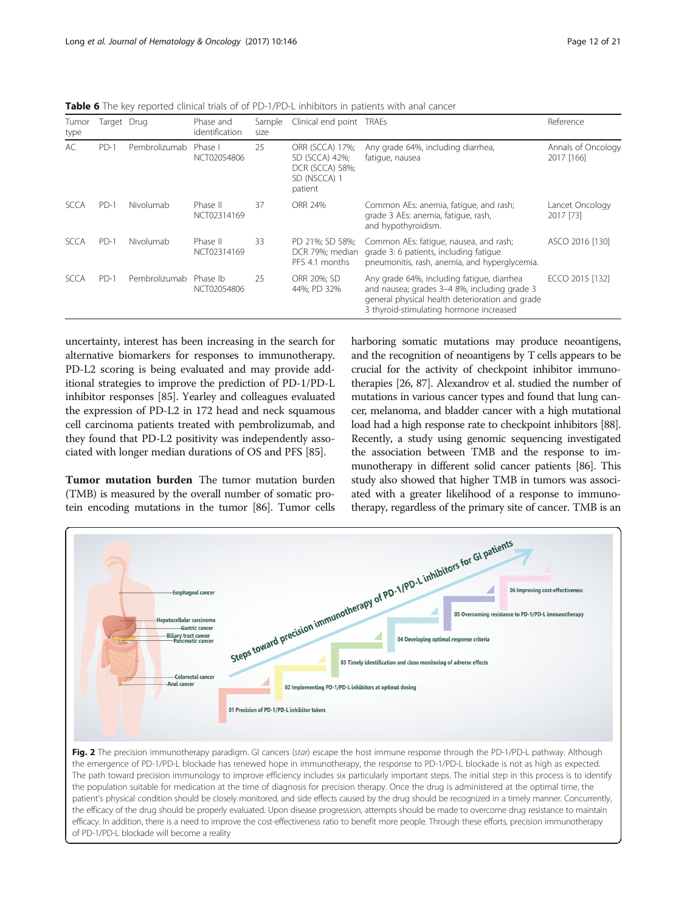| Tumor<br>type | Target Drug |               | Phase and<br>identification | Sample<br>size | Clinical end point TRAEs                                                        |                                                                                                                                                                                          | Reference                        |
|---------------|-------------|---------------|-----------------------------|----------------|---------------------------------------------------------------------------------|------------------------------------------------------------------------------------------------------------------------------------------------------------------------------------------|----------------------------------|
| AC            | $PD-1$      | Pembrolizumab | Phase I<br>NCT02054806      | 25             | ORR (SCCA) 17%;<br>SD (SCCA) 42%;<br>DCR (SCCA) 58%;<br>SD (NSCCA) 1<br>patient | Any grade 64%, including diarrhea,<br>fatique, nausea                                                                                                                                    | Annals of Oncology<br>2017 [166] |
| <b>SCCA</b>   | $PD-1$      | Nivolumab     | Phase II<br>NCT02314169     | 37             | ORR 24%                                                                         | Common AEs: anemia, fatigue, and rash;<br>grade 3 AEs: anemia, fatigue, rash,<br>and hypothyroidism.                                                                                     | Lancet Oncology<br>2017 [73]     |
| <b>SCCA</b>   | $PD-1$      | Nivolumab     | Phase II<br>NCT02314169     | 33             | PD 21%: SD 58%:<br>DCR 79%; median<br>PFS 4.1 months                            | Common AEs: fatigue, nausea, and rash;<br>grade 3: 6 patients, including fatigue<br>pneumonitis, rash, anemia, and hyperglycemia.                                                        | ASCO 2016 [130]                  |
| <b>SCCA</b>   | $PD-1$      | Pembrolizumab | Phase Ib<br>NCT02054806     | 25             | ORR 20%: SD<br>44%: PD 32%                                                      | Any grade 64%, including fatigue, diarrhea<br>and nausea; grades 3-4 8%, including grade 3<br>general physical health deterioration and grade<br>3 thyroid-stimulating hormone increased | ECCO 2015 [132]                  |

<span id="page-11-0"></span>Table 6 The key reported clinical trials of of PD-1/PD-L inhibitors in patients with anal cancer

uncertainty, interest has been increasing in the search for alternative biomarkers for responses to immunotherapy. PD-L2 scoring is being evaluated and may provide additional strategies to improve the prediction of PD-1/PD-L inhibitor responses [[85](#page-18-0)]. Yearley and colleagues evaluated the expression of PD-L2 in 172 head and neck squamous cell carcinoma patients treated with pembrolizumab, and they found that PD-L2 positivity was independently associated with longer median durations of OS and PFS [\[85\]](#page-18-0).

Tumor mutation burden The tumor mutation burden (TMB) is measured by the overall number of somatic protein encoding mutations in the tumor [\[86](#page-18-0)]. Tumor cells harboring somatic mutations may produce neoantigens, and the recognition of neoantigens by T cells appears to be crucial for the activity of checkpoint inhibitor immunotherapies [\[26,](#page-17-0) [87](#page-18-0)]. Alexandrov et al. studied the number of mutations in various cancer types and found that lung cancer, melanoma, and bladder cancer with a high mutational load had a high response rate to checkpoint inhibitors [[88](#page-18-0)]. Recently, a study using genomic sequencing investigated the association between TMB and the response to immunotherapy in different solid cancer patients [\[86\]](#page-18-0). This study also showed that higher TMB in tumors was associated with a greater likelihood of a response to immunotherapy, regardless of the primary site of cancer. TMB is an

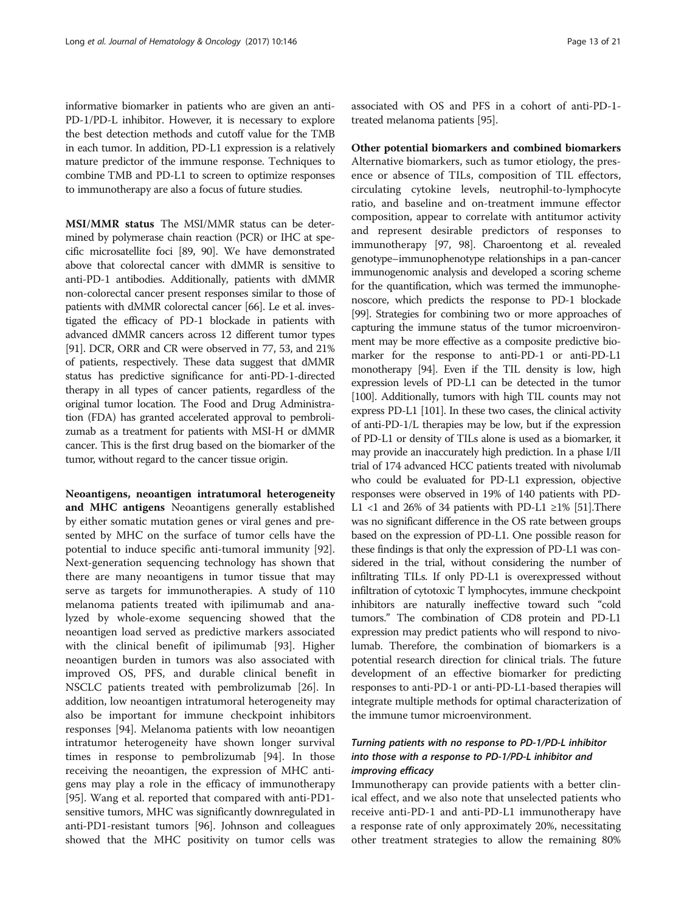informative biomarker in patients who are given an anti-PD-1/PD-L inhibitor. However, it is necessary to explore the best detection methods and cutoff value for the TMB in each tumor. In addition, PD-L1 expression is a relatively mature predictor of the immune response. Techniques to combine TMB and PD-L1 to screen to optimize responses to immunotherapy are also a focus of future studies.

MSI/MMR status The MSI/MMR status can be determined by polymerase chain reaction (PCR) or IHC at specific microsatellite foci [[89](#page-19-0), [90\]](#page-19-0). We have demonstrated above that colorectal cancer with dMMR is sensitive to anti-PD-1 antibodies. Additionally, patients with dMMR non-colorectal cancer present responses similar to those of patients with dMMR colorectal cancer [\[66\]](#page-18-0). Le et al. investigated the efficacy of PD-1 blockade in patients with advanced dMMR cancers across 12 different tumor types [[91](#page-19-0)]. DCR, ORR and CR were observed in 77, 53, and 21% of patients, respectively. These data suggest that dMMR status has predictive significance for anti-PD-1-directed therapy in all types of cancer patients, regardless of the original tumor location. The Food and Drug Administration (FDA) has granted accelerated approval to pembrolizumab as a treatment for patients with MSI-H or dMMR cancer. This is the first drug based on the biomarker of the tumor, without regard to the cancer tissue origin.

Neoantigens, neoantigen intratumoral heterogeneity and MHC antigens Neoantigens generally established by either somatic mutation genes or viral genes and presented by MHC on the surface of tumor cells have the potential to induce specific anti-tumoral immunity [\[92](#page-19-0)]. Next-generation sequencing technology has shown that there are many neoantigens in tumor tissue that may serve as targets for immunotherapies. A study of 110 melanoma patients treated with ipilimumab and analyzed by whole-exome sequencing showed that the neoantigen load served as predictive markers associated with the clinical benefit of ipilimumab [[93\]](#page-19-0). Higher neoantigen burden in tumors was also associated with improved OS, PFS, and durable clinical benefit in NSCLC patients treated with pembrolizumab [\[26](#page-17-0)]. In addition, low neoantigen intratumoral heterogeneity may also be important for immune checkpoint inhibitors responses [\[94](#page-19-0)]. Melanoma patients with low neoantigen intratumor heterogeneity have shown longer survival times in response to pembrolizumab [[94](#page-19-0)]. In those receiving the neoantigen, the expression of MHC antigens may play a role in the efficacy of immunotherapy [[95\]](#page-19-0). Wang et al. reported that compared with anti-PD1 sensitive tumors, MHC was significantly downregulated in anti-PD1-resistant tumors [\[96\]](#page-19-0). Johnson and colleagues showed that the MHC positivity on tumor cells was associated with OS and PFS in a cohort of anti-PD-1 treated melanoma patients [\[95\]](#page-19-0).

Other potential biomarkers and combined biomarkers Alternative biomarkers, such as tumor etiology, the presence or absence of TILs, composition of TIL effectors, circulating cytokine levels, neutrophil-to-lymphocyte ratio, and baseline and on-treatment immune effector composition, appear to correlate with antitumor activity and represent desirable predictors of responses to immunotherapy [[97](#page-19-0), [98](#page-19-0)]. Charoentong et al. revealed genotype–immunophenotype relationships in a pan-cancer immunogenomic analysis and developed a scoring scheme for the quantification, which was termed the immunophenoscore, which predicts the response to PD-1 blockade [[99](#page-19-0)]. Strategies for combining two or more approaches of capturing the immune status of the tumor microenvironment may be more effective as a composite predictive biomarker for the response to anti-PD-1 or anti-PD-L1 monotherapy [\[94\]](#page-19-0). Even if the TIL density is low, high expression levels of PD-L1 can be detected in the tumor [[100\]](#page-19-0). Additionally, tumors with high TIL counts may not express PD-L1 [[101\]](#page-19-0). In these two cases, the clinical activity of anti-PD-1/L therapies may be low, but if the expression of PD-L1 or density of TILs alone is used as a biomarker, it may provide an inaccurately high prediction. In a phase I/II trial of 174 advanced HCC patients treated with nivolumab who could be evaluated for PD-L1 expression, objective responses were observed in 19% of 140 patients with PD-L1 <1 and 26% of 34 patients with PD-L1 ≥1% [[51](#page-18-0)]. There was no significant difference in the OS rate between groups based on the expression of PD-L1. One possible reason for these findings is that only the expression of PD-L1 was considered in the trial, without considering the number of infiltrating TILs. If only PD-L1 is overexpressed without infiltration of cytotoxic T lymphocytes, immune checkpoint inhibitors are naturally ineffective toward such "cold tumors." The combination of CD8 protein and PD-L1 expression may predict patients who will respond to nivolumab. Therefore, the combination of biomarkers is a potential research direction for clinical trials. The future development of an effective biomarker for predicting responses to anti-PD-1 or anti-PD-L1-based therapies will integrate multiple methods for optimal characterization of the immune tumor microenvironment.

# Turning patients with no response to PD-1/PD-L inhibitor into those with a response to PD-1/PD-L inhibitor and improving efficacy

Immunotherapy can provide patients with a better clinical effect, and we also note that unselected patients who receive anti-PD-1 and anti-PD-L1 immunotherapy have a response rate of only approximately 20%, necessitating other treatment strategies to allow the remaining 80%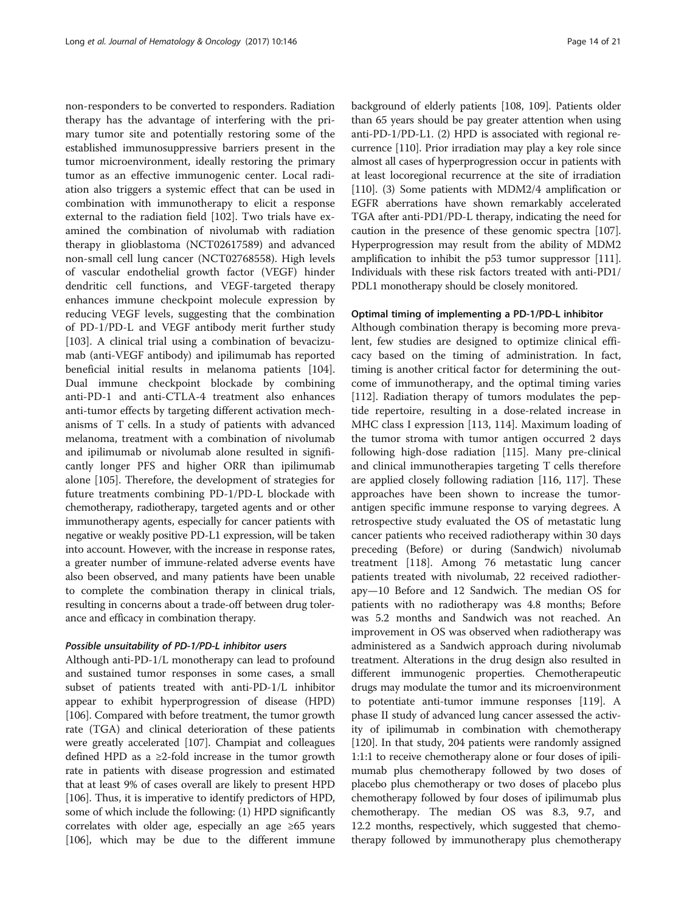non-responders to be converted to responders. Radiation therapy has the advantage of interfering with the primary tumor site and potentially restoring some of the established immunosuppressive barriers present in the tumor microenvironment, ideally restoring the primary tumor as an effective immunogenic center. Local radiation also triggers a systemic effect that can be used in combination with immunotherapy to elicit a response external to the radiation field [\[102\]](#page-19-0). Two trials have examined the combination of nivolumab with radiation therapy in glioblastoma (NCT02617589) and advanced non-small cell lung cancer (NCT02768558). High levels of vascular endothelial growth factor (VEGF) hinder dendritic cell functions, and VEGF-targeted therapy enhances immune checkpoint molecule expression by reducing VEGF levels, suggesting that the combination of PD-1/PD-L and VEGF antibody merit further study [[103\]](#page-19-0). A clinical trial using a combination of bevacizumab (anti-VEGF antibody) and ipilimumab has reported beneficial initial results in melanoma patients [\[104](#page-19-0)]. Dual immune checkpoint blockade by combining anti-PD-1 and anti-CTLA-4 treatment also enhances anti-tumor effects by targeting different activation mechanisms of T cells. In a study of patients with advanced melanoma, treatment with a combination of nivolumab and ipilimumab or nivolumab alone resulted in significantly longer PFS and higher ORR than ipilimumab alone [\[105\]](#page-19-0). Therefore, the development of strategies for future treatments combining PD-1/PD-L blockade with chemotherapy, radiotherapy, targeted agents and or other immunotherapy agents, especially for cancer patients with negative or weakly positive PD-L1 expression, will be taken into account. However, with the increase in response rates, a greater number of immune-related adverse events have also been observed, and many patients have been unable to complete the combination therapy in clinical trials, resulting in concerns about a trade-off between drug tolerance and efficacy in combination therapy.

## Possible unsuitability of PD-1/PD-L inhibitor users

Although anti-PD-1/L monotherapy can lead to profound and sustained tumor responses in some cases, a small subset of patients treated with anti-PD-1/L inhibitor appear to exhibit hyperprogression of disease (HPD) [[106](#page-19-0)]. Compared with before treatment, the tumor growth rate (TGA) and clinical deterioration of these patients were greatly accelerated [\[107](#page-19-0)]. Champiat and colleagues defined HPD as a ≥2-fold increase in the tumor growth rate in patients with disease progression and estimated that at least 9% of cases overall are likely to present HPD [[106](#page-19-0)]. Thus, it is imperative to identify predictors of HPD, some of which include the following: (1) HPD significantly correlates with older age, especially an age ≥65 years [[106](#page-19-0)], which may be due to the different immune background of elderly patients [[108](#page-19-0), [109\]](#page-19-0). Patients older than 65 years should be pay greater attention when using anti-PD-1/PD-L1. (2) HPD is associated with regional recurrence [[110](#page-19-0)]. Prior irradiation may play a key role since almost all cases of hyperprogression occur in patients with at least locoregional recurrence at the site of irradiation [[110](#page-19-0)]. (3) Some patients with MDM2/4 amplification or EGFR aberrations have shown remarkably accelerated TGA after anti-PD1/PD-L therapy, indicating the need for caution in the presence of these genomic spectra [[107](#page-19-0)]. Hyperprogression may result from the ability of MDM2 amplification to inhibit the p53 tumor suppressor [[111](#page-19-0)]. Individuals with these risk factors treated with anti-PD1/ PDL1 monotherapy should be closely monitored.

# Optimal timing of implementing a PD-1/PD-L inhibitor

Although combination therapy is becoming more prevalent, few studies are designed to optimize clinical efficacy based on the timing of administration. In fact, timing is another critical factor for determining the outcome of immunotherapy, and the optimal timing varies [[112\]](#page-19-0). Radiation therapy of tumors modulates the peptide repertoire, resulting in a dose-related increase in MHC class I expression [[113, 114\]](#page-19-0). Maximum loading of the tumor stroma with tumor antigen occurred 2 days following high-dose radiation [[115](#page-19-0)]. Many pre-clinical and clinical immunotherapies targeting T cells therefore are applied closely following radiation [[116, 117](#page-19-0)]. These approaches have been shown to increase the tumorantigen specific immune response to varying degrees. A retrospective study evaluated the OS of metastatic lung cancer patients who received radiotherapy within 30 days preceding (Before) or during (Sandwich) nivolumab treatment [\[118\]](#page-19-0). Among 76 metastatic lung cancer patients treated with nivolumab, 22 received radiotherapy—10 Before and 12 Sandwich. The median OS for patients with no radiotherapy was 4.8 months; Before was 5.2 months and Sandwich was not reached. An improvement in OS was observed when radiotherapy was administered as a Sandwich approach during nivolumab treatment. Alterations in the drug design also resulted in different immunogenic properties. Chemotherapeutic drugs may modulate the tumor and its microenvironment to potentiate anti-tumor immune responses [\[119\]](#page-19-0). A phase II study of advanced lung cancer assessed the activity of ipilimumab in combination with chemotherapy [[120](#page-19-0)]. In that study, 204 patients were randomly assigned 1:1:1 to receive chemotherapy alone or four doses of ipilimumab plus chemotherapy followed by two doses of placebo plus chemotherapy or two doses of placebo plus chemotherapy followed by four doses of ipilimumab plus chemotherapy. The median OS was 8.3, 9.7, and 12.2 months, respectively, which suggested that chemotherapy followed by immunotherapy plus chemotherapy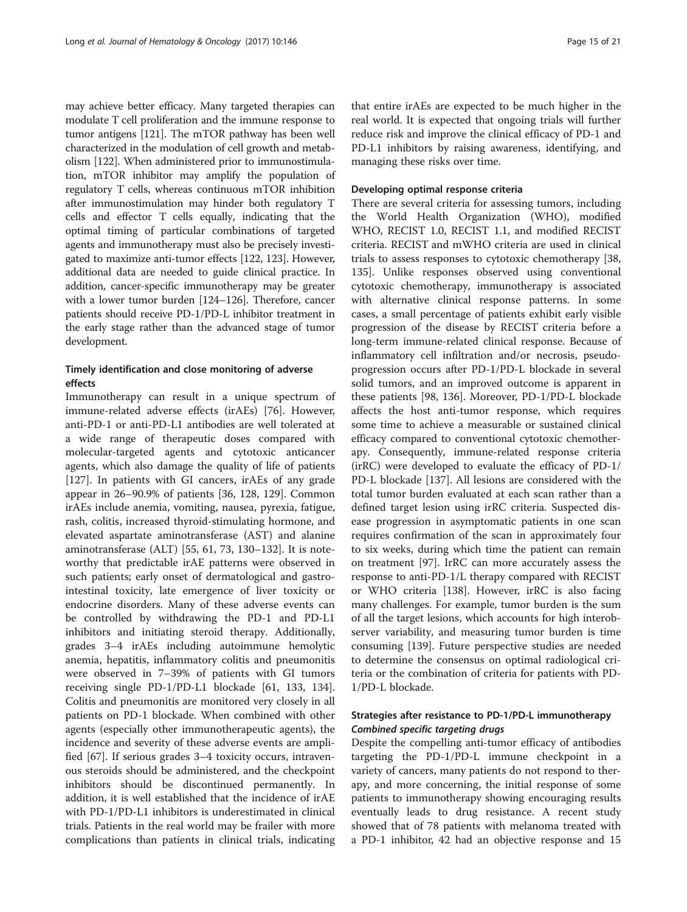may achieve better efficacy. Many targeted therapies can modulate T cell proliferation and the immune response to tumor antigens [[121](#page-19-0)]. The mTOR pathway has been well characterized in the modulation of cell growth and metabolism [\[122](#page-19-0)]. When administered prior to immunostimulation, mTOR inhibitor may amplify the population of regulatory T cells, whereas continuous mTOR inhibition after immunostimulation may hinder both regulatory T cells and effector T cells equally, indicating that the optimal timing of particular combinations of targeted agents and immunotherapy must also be precisely investigated to maximize anti-tumor effects [\[122, 123](#page-19-0)]. However, additional data are needed to guide clinical practice. In addition, cancer-specific immunotherapy may be greater with a lower tumor burden [[124](#page-19-0)–[126](#page-19-0)]. Therefore, cancer patients should receive PD-1/PD-L inhibitor treatment in the early stage rather than the advanced stage of tumor development.

# Timely identification and close monitoring of adverse effects

Immunotherapy can result in a unique spectrum of immune-related adverse effects (irAEs) [[76\]](#page-18-0). However, anti-PD-1 or anti-PD-L1 antibodies are well tolerated at a wide range of therapeutic doses compared with molecular-targeted agents and cytotoxic anticancer agents, which also damage the quality of life of patients [[127\]](#page-19-0). In patients with GI cancers, irAEs of any grade appear in 26–90.9% of patients [\[36](#page-17-0), [128, 129\]](#page-19-0). Common irAEs include anemia, vomiting, nausea, pyrexia, fatigue, rash, colitis, increased thyroid-stimulating hormone, and elevated aspartate aminotransferase (AST) and alanine aminotransferase (ALT) [[55](#page-18-0), [61](#page-18-0), [73,](#page-18-0) [130](#page-19-0)–[132](#page-20-0)]. It is noteworthy that predictable irAE patterns were observed in such patients; early onset of dermatological and gastrointestinal toxicity, late emergence of liver toxicity or endocrine disorders. Many of these adverse events can be controlled by withdrawing the PD-1 and PD-L1 inhibitors and initiating steroid therapy. Additionally, grades 3–4 irAEs including autoimmune hemolytic anemia, hepatitis, inflammatory colitis and pneumonitis were observed in 7–39% of patients with GI tumors receiving single PD-1/PD-L1 blockade [\[61](#page-18-0), [133, 134](#page-20-0)]. Colitis and pneumonitis are monitored very closely in all patients on PD-1 blockade. When combined with other agents (especially other immunotherapeutic agents), the incidence and severity of these adverse events are amplified [\[67](#page-18-0)]. If serious grades 3–4 toxicity occurs, intravenous steroids should be administered, and the checkpoint inhibitors should be discontinued permanently. In addition, it is well established that the incidence of irAE with PD-1/PD-L1 inhibitors is underestimated in clinical trials. Patients in the real world may be frailer with more complications than patients in clinical trials, indicating

that entire irAEs are expected to be much higher in the real world. It is expected that ongoing trials will further reduce risk and improve the clinical efficacy of PD-1 and PD-L1 inhibitors by raising awareness, identifying, and managing these risks over time.

#### Developing optimal response criteria

There are several criteria for assessing tumors, including the World Health Organization (WHO), modified WHO, RECIST 1.0, RECIST 1.1, and modified RECIST criteria. RECIST and mWHO criteria are used in clinical trials to assess responses to cytotoxic chemotherapy [[38](#page-17-0), [135](#page-20-0)]. Unlike responses observed using conventional cytotoxic chemotherapy, immunotherapy is associated with alternative clinical response patterns. In some cases, a small percentage of patients exhibit early visible progression of the disease by RECIST criteria before a long-term immune-related clinical response. Because of inflammatory cell infiltration and/or necrosis, pseudoprogression occurs after PD-1/PD-L blockade in several solid tumors, and an improved outcome is apparent in these patients [\[98](#page-19-0), [136\]](#page-20-0). Moreover, PD-1/PD-L blockade affects the host anti-tumor response, which requires some time to achieve a measurable or sustained clinical efficacy compared to conventional cytotoxic chemotherapy. Consequently, immune-related response criteria (irRC) were developed to evaluate the efficacy of PD-1/ PD-L blockade [\[137\]](#page-20-0). All lesions are considered with the total tumor burden evaluated at each scan rather than a defined target lesion using irRC criteria. Suspected disease progression in asymptomatic patients in one scan requires confirmation of the scan in approximately four to six weeks, during which time the patient can remain on treatment [\[97](#page-19-0)]. IrRC can more accurately assess the response to anti-PD-1/L therapy compared with RECIST or WHO criteria [\[138](#page-20-0)]. However, irRC is also facing many challenges. For example, tumor burden is the sum of all the target lesions, which accounts for high interobserver variability, and measuring tumor burden is time consuming [[139](#page-20-0)]. Future perspective studies are needed to determine the consensus on optimal radiological criteria or the combination of criteria for patients with PD-1/PD-L blockade.

# Strategies after resistance to PD-1/PD-L immunotherapy Combined specific targeting drugs

Despite the compelling anti-tumor efficacy of antibodies targeting the PD-1/PD-L immune checkpoint in a variety of cancers, many patients do not respond to therapy, and more concerning, the initial response of some patients to immunotherapy showing encouraging results eventually leads to drug resistance. A recent study showed that of 78 patients with melanoma treated with a PD-1 inhibitor, 42 had an objective response and 15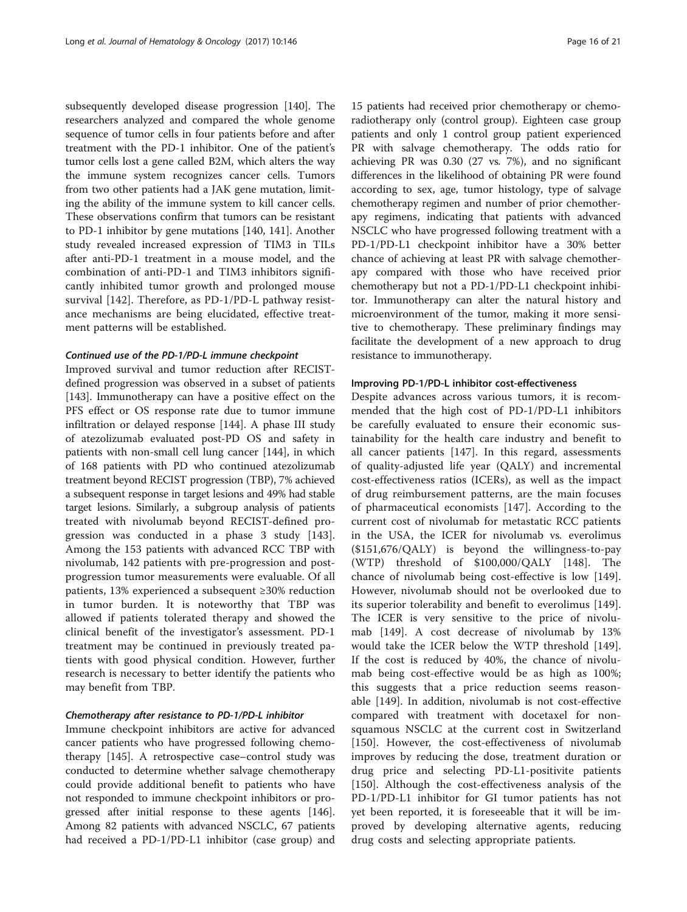subsequently developed disease progression [\[140](#page-20-0)]. The researchers analyzed and compared the whole genome sequence of tumor cells in four patients before and after treatment with the PD-1 inhibitor. One of the patient's tumor cells lost a gene called B2M, which alters the way the immune system recognizes cancer cells. Tumors from two other patients had a JAK gene mutation, limiting the ability of the immune system to kill cancer cells. These observations confirm that tumors can be resistant to PD-1 inhibitor by gene mutations [\[140, 141\]](#page-20-0). Another study revealed increased expression of TIM3 in TILs after anti-PD-1 treatment in a mouse model, and the combination of anti-PD-1 and TIM3 inhibitors significantly inhibited tumor growth and prolonged mouse survival [\[142](#page-20-0)]. Therefore, as PD-1/PD-L pathway resistance mechanisms are being elucidated, effective treatment patterns will be established.

#### Continued use of the PD-1/PD-L immune checkpoint

Improved survival and tumor reduction after RECISTdefined progression was observed in a subset of patients [[143\]](#page-20-0). Immunotherapy can have a positive effect on the PFS effect or OS response rate due to tumor immune infiltration or delayed response [[144](#page-20-0)]. A phase III study of atezolizumab evaluated post-PD OS and safety in patients with non-small cell lung cancer [[144\]](#page-20-0), in which of 168 patients with PD who continued atezolizumab treatment beyond RECIST progression (TBP), 7% achieved a subsequent response in target lesions and 49% had stable target lesions. Similarly, a subgroup analysis of patients treated with nivolumab beyond RECIST-defined progression was conducted in a phase 3 study [\[143](#page-20-0)]. Among the 153 patients with advanced RCC TBP with nivolumab, 142 patients with pre-progression and postprogression tumor measurements were evaluable. Of all patients, 13% experienced a subsequent ≥30% reduction in tumor burden. It is noteworthy that TBP was allowed if patients tolerated therapy and showed the clinical benefit of the investigator's assessment. PD-1 treatment may be continued in previously treated patients with good physical condition. However, further research is necessary to better identify the patients who may benefit from TBP.

# Chemotherapy after resistance to PD-1/PD-L inhibitor

Immune checkpoint inhibitors are active for advanced cancer patients who have progressed following chemotherapy [[145](#page-20-0)]. A retrospective case–control study was conducted to determine whether salvage chemotherapy could provide additional benefit to patients who have not responded to immune checkpoint inhibitors or progressed after initial response to these agents [\[146](#page-20-0)]. Among 82 patients with advanced NSCLC, 67 patients had received a PD-1/PD-L1 inhibitor (case group) and

15 patients had received prior chemotherapy or chemoradiotherapy only (control group). Eighteen case group patients and only 1 control group patient experienced PR with salvage chemotherapy. The odds ratio for achieving PR was 0.30 (27 vs. 7%), and no significant differences in the likelihood of obtaining PR were found according to sex, age, tumor histology, type of salvage chemotherapy regimen and number of prior chemotherapy regimens, indicating that patients with advanced NSCLC who have progressed following treatment with a PD-1/PD-L1 checkpoint inhibitor have a 30% better chance of achieving at least PR with salvage chemotherapy compared with those who have received prior chemotherapy but not a PD-1/PD-L1 checkpoint inhibitor. Immunotherapy can alter the natural history and microenvironment of the tumor, making it more sensitive to chemotherapy. These preliminary findings may facilitate the development of a new approach to drug resistance to immunotherapy.

# Improving PD-1/PD-L inhibitor cost-effectiveness

Despite advances across various tumors, it is recommended that the high cost of PD-1/PD-L1 inhibitors be carefully evaluated to ensure their economic sustainability for the health care industry and benefit to all cancer patients [[147\]](#page-20-0). In this regard, assessments of quality-adjusted life year (QALY) and incremental cost-effectiveness ratios (ICERs), as well as the impact of drug reimbursement patterns, are the main focuses of pharmaceutical economists [[147](#page-20-0)]. According to the current cost of nivolumab for metastatic RCC patients in the USA, the ICER for nivolumab vs. everolimus (\$151,676/QALY) is beyond the willingness-to-pay (WTP) threshold of \$100,000/QALY [[148\]](#page-20-0). The chance of nivolumab being cost-effective is low [\[149](#page-20-0)]. However, nivolumab should not be overlooked due to its superior tolerability and benefit to everolimus [\[149](#page-20-0)]. The ICER is very sensitive to the price of nivolumab [[149\]](#page-20-0). A cost decrease of nivolumab by 13% would take the ICER below the WTP threshold [\[149](#page-20-0)]. If the cost is reduced by 40%, the chance of nivolumab being cost-effective would be as high as 100%; this suggests that a price reduction seems reasonable [[149\]](#page-20-0). In addition, nivolumab is not cost-effective compared with treatment with docetaxel for nonsquamous NSCLC at the current cost in Switzerland [[150\]](#page-20-0). However, the cost-effectiveness of nivolumab improves by reducing the dose, treatment duration or drug price and selecting PD-L1-positivite patients [[150\]](#page-20-0). Although the cost-effectiveness analysis of the PD-1/PD-L1 inhibitor for GI tumor patients has not yet been reported, it is foreseeable that it will be improved by developing alternative agents, reducing drug costs and selecting appropriate patients.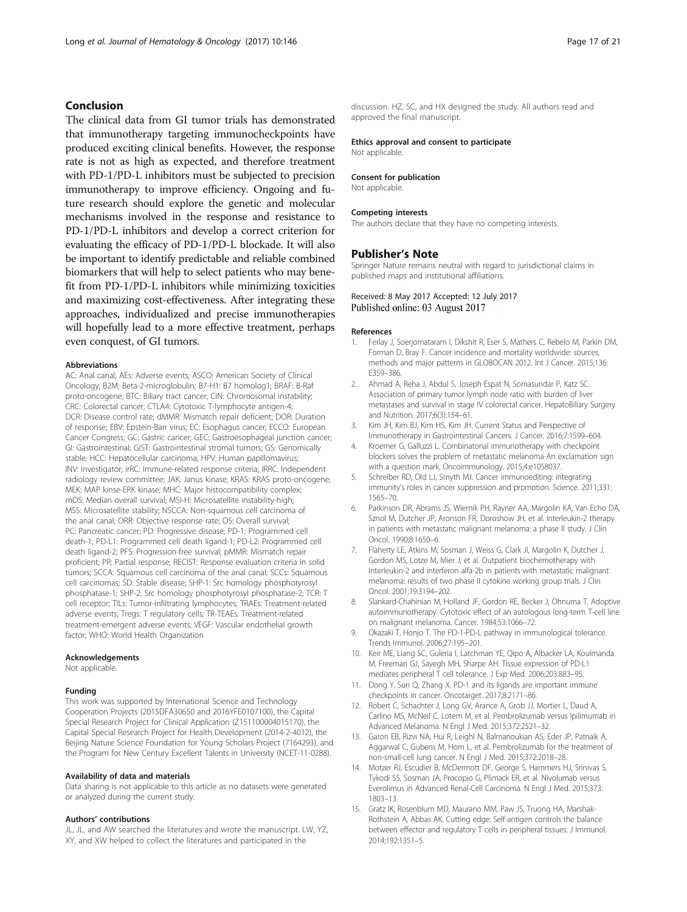# <span id="page-16-0"></span>Conclusion

The clinical data from GI tumor trials has demonstrated that immunotherapy targeting immunocheckpoints have produced exciting clinical benefits. However, the response rate is not as high as expected, and therefore treatment with PD-1/PD-L inhibitors must be subjected to precision immunotherapy to improve efficiency. Ongoing and future research should explore the genetic and molecular mechanisms involved in the response and resistance to PD-1/PD-L inhibitors and develop a correct criterion for evaluating the efficacy of PD-1/PD-L blockade. It will also be important to identify predictable and reliable combined biomarkers that will help to select patients who may benefit from PD-1/PD-L inhibitors while minimizing toxicities and maximizing cost-effectiveness. After integrating these approaches, individualized and precise immunotherapies will hopefully lead to a more effective treatment, perhaps even conquest, of GI tumors.

#### Abbreviations

AC: Anal canal; AEs: Adverse events; ASCO: American Society of Clinical Oncology; B2M: Beta-2-microglobulin; B7-H1: B7 homolog1; BRAF: B-Raf proto-oncogene; BTC: Biliary tract cancer; CIN: Chromosomal instability; CRC: Colorectal cancer; CTLA4: Cytotoxic T-lymphocyte antigen-4; DCR: Disease control rate; dMMR: Mismatch repair deficient; DOR: Duration of response; EBV: Epstein-Barr virus; EC: Esophagus cancer; ECCO: European Cancer Congress; GC: Gastric cancer; GEC: Gastroesophageal junction cancer; GI: Gastrointestinal; GIST: Gastrointestinal stromal tumors; GS: Genomically stable; HCC: Hepatocellular carcinoma; HPV: Human papillomavirus; INV: Investigator; irRC: Immune-related response criteria; IRRC: Independent radiology review committee; JAK: Janus kinase; KRAS: KRAS proto-oncogene; MEK: MAP kinse-ERK kinase; MHC: Major histocompatibility complex; mOS: Median overall survival; MSI-H: Microsatellite instability-high; MSS: Microsatellite stability; NSCCA: Non-squamous cell carcinoma of the anal canal; ORR: Objective response rate; OS: Overall survival; PC: Pancreatic cancer; PD: Progressive disease; PD-1: Programmed cell death-1; PD-L1: Programmed cell death ligand-1; PD-L2: Programmed cell death ligand-2; PFS: Progression-free survival; pMMR: Mismatch repair proficient; PR: Partial response; RECIST: Response evaluation criteria in solid tumors; SCCA: Squamous cell carcinoma of the anal canal; SCCs: Squamous cell carcinomas; SD: Stable disease; SHP-1: Src homology phosphotyrosyl phosphatase-1; SHP-2: Src homology phosphotyrosyl phosphatase-2; TCR: T cell receptor; TILs: Tumor-infiltrating lymphocytes; TRAEs: Treatment-related adverse events; Tregs: T regulatory cells; TR-TEAEs: Treatment-related treatment-emergent adverse events; VEGF: Vascular endothelial growth factor; WHO: World Health Organization

#### Acknowledgements

Not applicable.

#### Funding

This work was supported by International Science and Technology Cooperation Projects (2015DFA30650 and 2016YFE0107100), the Capital Special Research Project for Clinical Application (Z151100004015170), the Capital Special Research Project for Health Development (2014-2-4012), the Beijing Nature Science Foundation for Young Scholars Project (7164293), and the Program for New Century Excellent Talents in University (NCET-11-0288).

#### Availability of data and materials

Data sharing is not applicable to this article as no datasets were generated or analyzed during the current study.

#### Authors' contributions

JL, JL, and AW searched the literatures and wrote the manuscript. LW, YZ, XY, and XW helped to collect the literatures and participated in the

discussion. HZ, SC, and HX designed the study. All authors read and approved the final manuscript.

#### Ethics approval and consent to participate

Not applicable.

#### Consent for publication

Not applicable.

#### Competing interests

The authors declare that they have no competing interests.

#### Publisher's Note

Springer Nature remains neutral with regard to jurisdictional claims in published maps and institutional affiliations.

Received: 8 May 2017 Accepted: 12 July 2017 Published online: 03 August 2017

#### References

- 1. Ferlay J, Soerjomataram I, Dikshit R, Eser S, Mathers C, Rebelo M, Parkin DM, Forman D, Bray F. Cancer incidence and mortality worldwide: sources, methods and major patterns in GLOBOCAN 2012. Int J Cancer. 2015;136: E359–386.
- 2. Ahmad A, Reha J, Abdul S, Joseph Espat N, Somasundar P, Katz SC. Association of primary tumor lymph node ratio with burden of liver metastases and survival in stage IV colorectal cancer. HepatoBiliary Surgery and Nutrition. 2017;6(3):154–61.
- 3. Kim JH, Kim BJ, Kim HS, Kim JH. Current Status and Perspective of Immunotherapy in Gastrointestinal Cancers. J Cancer. 2016;7:1599–604.
- 4. Kroemer G, Galluzzi L. Combinatorial immunotherapy with checkpoint blockers solves the problem of metastatic melanoma-An exclamation sign with a question mark. Oncoimmunology. 2015;4:e1058037.
- 5. Schreiber RD, Old LJ, Smyth MJ. Cancer immunoediting: integrating immunity's roles in cancer suppression and promotion. Science. 2011;331: 1565–70.
- 6. Parkinson DR, Abrams JS, Wiernik PH, Rayner AA, Margolin KA, Van Echo DA, Sznol M, Dutcher JP, Aronson FR, Doroshow JH, et al. Interleukin-2 therapy in patients with metastatic malignant melanoma: a phase II study. J Clin Oncol. 1990;8:1650–6.
- 7. Flaherty LE, Atkins M, Sosman J, Weiss G, Clark JI, Margolin K, Dutcher J, Gordon MS, Lotze M, Mier J, et al. Outpatient biochemotherapy with interleukin-2 and interferon alfa-2b in patients with metastatic malignant melanoma: results of two phase II cytokine working group trials. J Clin Oncol. 2001;19:3194–202.
- 8. Slankard-Chahinian M, Holland JF, Gordon RE, Becker J, Ohnuma T. Adoptive autoimmunotherapy. Cytotoxic effect of an autologous long-term T-cell line on malignant melanoma. Cancer. 1984;53:1066–72.
- 9. Okazaki T, Honjo T. The PD-1-PD-L pathway in immunological tolerance. Trends Immunol. 2006;27:195–201.
- 10. Keir ME, Liang SC, Guleria I, Latchman YE, Qipo A, Albacker LA, Koulmanda M, Freeman GJ, Sayegh MH, Sharpe AH. Tissue expression of PD-L1 mediates peripheral T cell tolerance. J Exp Med. 2006;203:883–95.
- 11. Dong Y, Sun Q, Zhang X. PD-1 and its ligands are important immune checkpoints in cancer. Oncotarget. 2017;8:2171–86.
- 12. Robert C, Schachter J, Long GV, Arance A, Grob JJ, Mortier L, Daud A, Carlino MS, McNeil C, Lotem M, et al. Pembrolizumab versus Ipilimumab in Advanced Melanoma. N Engl J Med. 2015;372:2521–32.
- 13. Garon EB, Rizvi NA, Hui R, Leighl N, Balmanoukian AS, Eder JP, Patnaik A, Aggarwal C, Gubens M, Horn L, et al. Pembrolizumab for the treatment of non-small-cell lung cancer. N Engl J Med. 2015;372:2018–28.
- 14. Motzer RJ, Escudier B, McDermott DF, George S, Hammers HJ, Srinivas S, Tykodi SS, Sosman JA, Procopio G, Plimack ER, et al. Nivolumab versus Everolimus in Advanced Renal-Cell Carcinoma. N Engl J Med. 2015;373: 1803–13.
- 15. Gratz IK, Rosenblum MD, Maurano MM, Paw JS, Truong HA, Marshak-Rothstein A, Abbas AK. Cutting edge: Self-antigen controls the balance between effector and regulatory T cells in peripheral tissues. J Immunol. 2014;192:1351–5.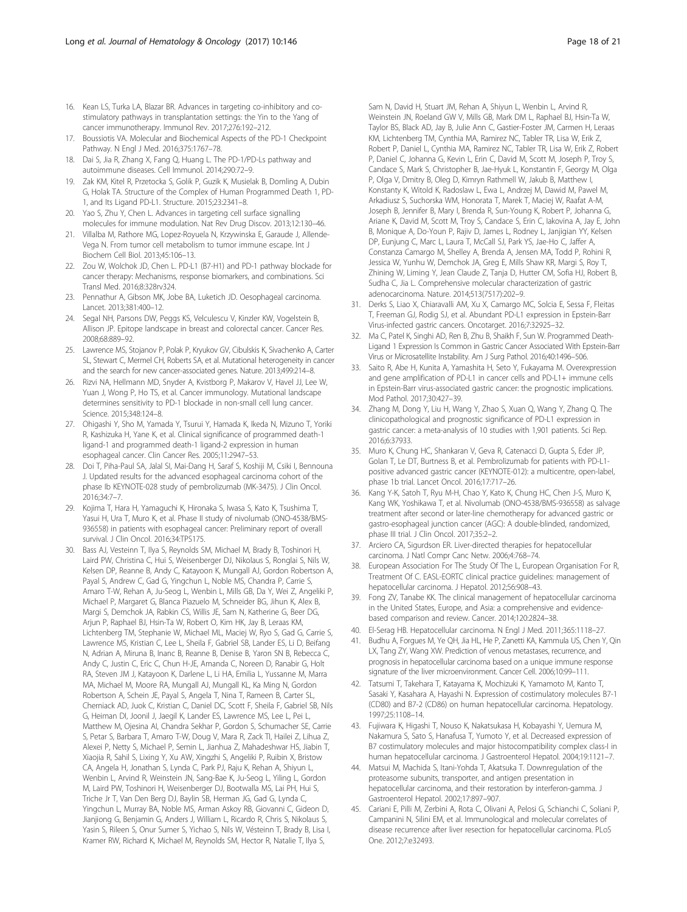- <span id="page-17-0"></span>16. Kean LS, Turka LA, Blazar BR. Advances in targeting co-inhibitory and costimulatory pathways in transplantation settings: the Yin to the Yang of cancer immunotherapy. Immunol Rev. 2017;276:192–212.
- 17. Boussiotis VA. Molecular and Biochemical Aspects of the PD-1 Checkpoint Pathway. N Engl J Med. 2016;375:1767–78.
- 18. Dai S, Jia R, Zhang X, Fang Q, Huang L. The PD-1/PD-Ls pathway and autoimmune diseases. Cell Immunol. 2014;290:72–9.
- 19. Zak KM, Kitel R, Przetocka S, Golik P, Guzik K, Musielak B, Domling A, Dubin G, Holak TA. Structure of the Complex of Human Programmed Death 1, PD-1, and Its Ligand PD-L1. Structure. 2015;23:2341–8.
- 20. Yao S, Zhu Y, Chen L. Advances in targeting cell surface signalling molecules for immune modulation. Nat Rev Drug Discov. 2013;12:130–46.
- 21. Villalba M, Rathore MG, Lopez-Royuela N, Krzywinska E, Garaude J, Allende-Vega N. From tumor cell metabolism to tumor immune escape. Int J Biochem Cell Biol. 2013;45:106–13.
- 22. Zou W, Wolchok JD, Chen L. PD-L1 (B7-H1) and PD-1 pathway blockade for cancer therapy: Mechanisms, response biomarkers, and combinations. Sci Transl Med. 2016;8:328rv324.
- 23. Pennathur A, Gibson MK, Jobe BA, Luketich JD. Oesophageal carcinoma. Lancet. 2013;381:400–12.
- 24. Segal NH, Parsons DW, Peggs KS, Velculescu V, Kinzler KW, Vogelstein B, Allison JP. Epitope landscape in breast and colorectal cancer. Cancer Res. 2008;68:889–92.
- 25. Lawrence MS, Stojanov P, Polak P, Kryukov GV, Cibulskis K, Sivachenko A, Carter SL, Stewart C, Mermel CH, Roberts SA, et al. Mutational heterogeneity in cancer and the search for new cancer-associated genes. Nature. 2013;499:214–8.
- 26. Rizvi NA, Hellmann MD, Snyder A, Kvistborg P, Makarov V, Havel JJ, Lee W, Yuan J, Wong P, Ho TS, et al. Cancer immunology. Mutational landscape determines sensitivity to PD-1 blockade in non-small cell lung cancer. Science. 2015;348:124–8.
- 27. Ohigashi Y, Sho M, Yamada Y, Tsurui Y, Hamada K, Ikeda N, Mizuno T, Yoriki R, Kashizuka H, Yane K, et al. Clinical significance of programmed death-1 ligand-1 and programmed death-1 ligand-2 expression in human esophageal cancer. Clin Cancer Res. 2005;11:2947–53.
- 28. Doi T, Piha-Paul SA, Jalal SI, Mai-Dang H, Saraf S, Koshiji M, Csiki I, Bennouna J. Updated results for the advanced esophageal carcinoma cohort of the phase Ib KEYNOTE-028 study of pembrolizumab (MK-3475). J Clin Oncol. 2016;34:7–7.
- 29. Kojima T, Hara H, Yamaguchi K, Hironaka S, Iwasa S, Kato K, Tsushima T, Yasui H, Ura T, Muro K, et al. Phase II study of nivolumab (ONO-4538/BMS-936558) in patients with esophageal cancer: Preliminary report of overall survival. J Clin Oncol. 2016;34:TPS175.
- 30. Bass AJ, Vesteinn T, Ilya S, Reynolds SM, Michael M, Brady B, Toshinori H, Laird PW, Christina C, Hui S, Weisenberger DJ, Nikolaus S, Ronglai S, Nils W, Kelsen DP, Reanne B, Andy C, Katayoon K, Mungall AJ, Gordon Robertson A, Payal S, Andrew C, Gad G, Yingchun L, Noble MS, Chandra P, Carrie S, Amaro T-W, Rehan A, Ju-Seog L, Wenbin L, Mills GB, Da Y, Wei Z, Angeliki P, Michael P, Margaret G, Blanca Piazuelo M, Schneider BG, Jihun K, Alex B, Margi S, Demchok JA, Rabkin CS, Willis JE, Sam N, Katherine G, Beer DG, Arjun P, Raphael BJ, Hsin-Ta W, Robert O, Kim HK, Jay B, Leraas KM, Lichtenberg TM, Stephanie W, Michael ML, Maciej W, Ryo S, Gad G, Carrie S, Lawrence MS, Kristian C, Lee L, Sheila F, Gabriel SB, Lander ES, Li D, Beifang N, Adrian A, Miruna B, Inanc B, Reanne B, Denise B, Yaron SN B, Rebecca C, Andy C, Justin C, Eric C, Chun H-JE, Amanda C, Noreen D, Ranabir G, Holt RA, Steven JM J, Katayoon K, Darlene L, Li HA, Emilia L, Yussanne M, Marra MA, Michael M, Moore RA, Mungall AJ, Mungall KL, Ka Ming N, Gordon Robertson A, Schein JE, Payal S, Angela T, Nina T, Rameen B, Carter SL, Cherniack AD, Juok C, Kristian C, Daniel DC, Scott F, Sheila F, Gabriel SB, Nils G, Heiman DI, Joonil J, Jaegil K, Lander ES, Lawrence MS, Lee L, Pei L, Matthew M, Ojesina AI, Chandra Sekhar P, Gordon S, Schumacher SE, Carrie S, Petar S, Barbara T, Amaro T-W, Doug V, Mara R, Zack TI, Hailei Z, Lihua Z, Alexei P, Netty S, Michael P, Semin L, Jianhua Z, Mahadeshwar HS, Jiabin T, Xiaojia R, Sahil S, Lixing Y, Xu AW, Xingzhi S, Angeliki P, Ruibin X, Bristow CA, Angela H, Jonathan S, Lynda C, Park PJ, Raju K, Rehan A, Shiyun L, Wenbin L, Arvind R, Weinstein JN, Sang-Bae K, Ju-Seog L, Yiling L, Gordon M, Laird PW, Toshinori H, Weisenberger DJ, Bootwalla MS, Lai PH, Hui S, Triche Jr T, Van Den Berg DJ, Baylin SB, Herman JG, Gad G, Lynda C, Yingchun L, Murray BA, Noble MS, Arman Askoy RB, Giovanni C, Gideon D, Jianjiong G, Benjamin G, Anders J, William L, Ricardo R, Chris S, Nikolaus S, Yasin S, Rileen S, Onur Sumer S, Yichao S, Nils W, Vésteinn T, Brady B, Lisa I, Kramer RW, Richard K, Michael M, Reynolds SM, Hector R, Natalie T, Ilya S,

Sam N, David H, Stuart JM, Rehan A, Shiyun L, Wenbin L, Arvind R, Weinstein JN, Roeland GW V, Mills GB, Mark DM L, Raphael BJ, Hsin-Ta W, Taylor BS, Black AD, Jay B, Julie Ann C, Gastier-Foster JM, Carmen H, Leraas KM, Lichtenberg TM, Cynthia MA, Ramirez NC, Tabler TR, Lisa W, Erik Z, Robert P, Daniel L, Cynthia MA, Ramirez NC, Tabler TR, Lisa W, Erik Z, Robert P, Daniel C, Johanna G, Kevin L, Erin C, David M, Scott M, Joseph P, Troy S, Candace S, Mark S, Christopher B, Jae-Hyuk L, Konstantin F, Georgy M, Olga P, Olga V, Dmitry B, Oleg D, Kimryn Rathmell W, Jakub B, Matthew I, Konstanty K, Witold K, Radoslaw L, Ewa L, Andrzej M, Dawid M, Pawel M, Arkadiusz S, Suchorska WM, Honorata T, Marek T, Maciej W, Raafat A-M, Joseph B, Jennifer B, Mary I, Brenda R, Sun-Young K, Robert P, Johanna G, Ariane K, David M, Scott M, Troy S, Candace S, Erin C, Iakovina A, Jay E, John B, Monique A, Do-Youn P, Rajiv D, James L, Rodney L, Janjigian YY, Kelsen DP, Eunjung C, Marc L, Laura T, McCall SJ, Park YS, Jae-Ho C, Jaffer A, Constanza Camargo M, Shelley A, Brenda A, Jensen MA, Todd P, Rohini R, Jessica W, Yunhu W, Demchok JA, Greg E, Mills Shaw KR, Margi S, Roy T, Zhining W, Liming Y, Jean Claude Z, Tanja D, Hutter CM, Sofia HJ, Robert B, Sudha C, Jia L. Comprehensive molecular characterization of gastric adenocarcinoma. Nature. 2014;513(7517):202–9.

- 31. Derks S, Liao X, Chiaravalli AM, Xu X, Camargo MC, Solcia E, Sessa F, Fleitas T, Freeman GJ, Rodig SJ, et al. Abundant PD-L1 expression in Epstein-Barr Virus-infected gastric cancers. Oncotarget. 2016;7:32925–32.
- 32. Ma C, Patel K, Singhi AD, Ren B, Zhu B, Shaikh F, Sun W. Programmed Death-Ligand 1 Expression Is Common in Gastric Cancer Associated With Epstein-Barr Virus or Microsatellite Instability. Am J Surg Pathol. 2016;40:1496–506.
- 33. Saito R, Abe H, Kunita A, Yamashita H, Seto Y, Fukayama M. Overexpression and gene amplification of PD-L1 in cancer cells and PD-L1+ immune cells in Epstein-Barr virus-associated gastric cancer: the prognostic implications. Mod Pathol. 2017;30:427–39.
- 34. Zhang M, Dong Y, Liu H, Wang Y, Zhao S, Xuan Q, Wang Y, Zhang Q. The clinicopathological and prognostic significance of PD-L1 expression in gastric cancer: a meta-analysis of 10 studies with 1,901 patients. Sci Rep. 2016;6:37933.
- 35. Muro K, Chung HC, Shankaran V, Geva R, Catenacci D, Gupta S, Eder JP, Golan T, Le DT, Burtness B, et al. Pembrolizumab for patients with PD-L1 positive advanced gastric cancer (KEYNOTE-012): a multicentre, open-label, phase 1b trial. Lancet Oncol. 2016;17:717–26.
- 36. Kang Y-K, Satoh T, Ryu M-H, Chao Y, Kato K, Chung HC, Chen J-S, Muro K, Kang WK, Yoshikawa T, et al. Nivolumab (ONO-4538/BMS-936558) as salvage treatment after second or later-line chemotherapy for advanced gastric or gastro-esophageal junction cancer (AGC): A double-blinded, randomized, phase III trial. J Clin Oncol. 2017;35:2–2.
- 37. Arciero CA, Sigurdson ER. Liver-directed therapies for hepatocellular carcinoma. J Natl Compr Canc Netw. 2006;4:768–74.
- 38. European Association For The Study Of The L, European Organisation For R, Treatment Of C. EASL-EORTC clinical practice guidelines: management of hepatocellular carcinoma. J Hepatol. 2012;56:908–43.
- 39. Fong ZV, Tanabe KK. The clinical management of hepatocellular carcinoma in the United States, Europe, and Asia: a comprehensive and evidencebased comparison and review. Cancer. 2014;120:2824–38.
- 40. El-Serag HB. Hepatocellular carcinoma. N Engl J Med. 2011;365:1118–27.
- 41. Budhu A, Forgues M, Ye QH, Jia HL, He P, Zanetti KA, Kammula US, Chen Y, Qin LX, Tang ZY, Wang XW. Prediction of venous metastases, recurrence, and prognosis in hepatocellular carcinoma based on a unique immune response signature of the liver microenvironment. Cancer Cell. 2006;10:99–111.
- 42. Tatsumi T, Takehara T, Katayama K, Mochizuki K, Yamamoto M, Kanto T, Sasaki Y, Kasahara A, Hayashi N. Expression of costimulatory molecules B7-1 (CD80) and B7-2 (CD86) on human hepatocellular carcinoma. Hepatology. 1997;25:1108–14.
- 43. Fujiwara K, Higashi T, Nouso K, Nakatsukasa H, Kobayashi Y, Uemura M, Nakamura S, Sato S, Hanafusa T, Yumoto Y, et al. Decreased expression of B7 costimulatory molecules and major histocompatibility complex class-I in human hepatocellular carcinoma. J Gastroenterol Hepatol. 2004;19:1121–7.
- 44. Matsui M, Machida S, Itani-Yohda T, Akatsuka T. Downregulation of the proteasome subunits, transporter, and antigen presentation in hepatocellular carcinoma, and their restoration by interferon-gamma. J Gastroenterol Hepatol. 2002;17:897–907.
- 45. Cariani E, Pilli M, Zerbini A, Rota C, Olivani A, Pelosi G, Schianchi C, Soliani P, Campanini N, Silini EM, et al. Immunological and molecular correlates of disease recurrence after liver resection for hepatocellular carcinoma. PLoS One. 2012;7:e32493.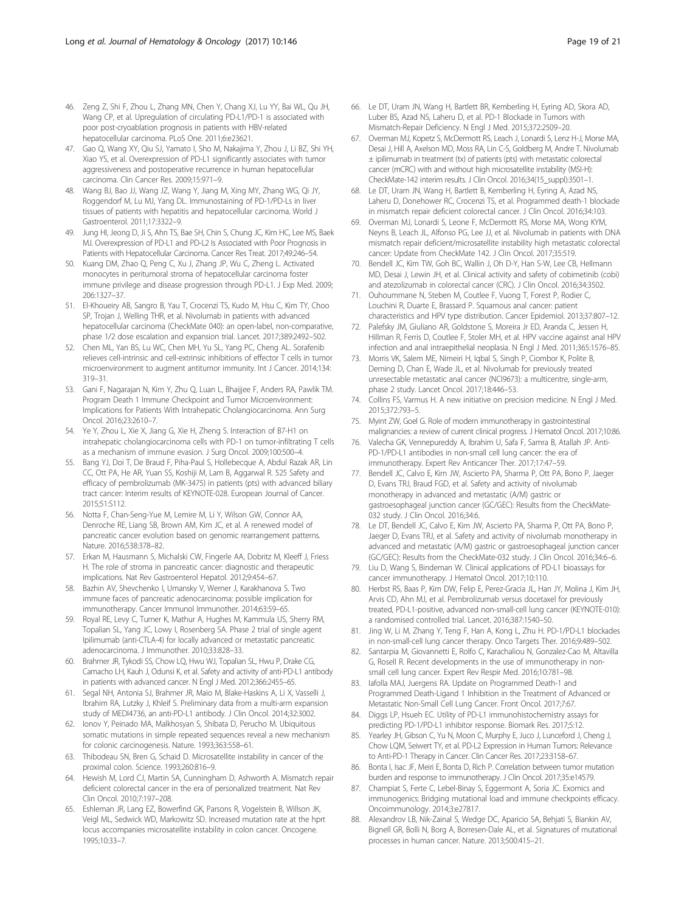- <span id="page-18-0"></span>46. Zeng Z, Shi F, Zhou L, Zhang MN, Chen Y, Chang XJ, Lu YY, Bai WL, Qu JH, Wang CP, et al. Upregulation of circulating PD-L1/PD-1 is associated with poor post-cryoablation prognosis in patients with HBV-related hepatocellular carcinoma. PLoS One. 2011;6:e23621.
- 47. Gao Q, Wang XY, Qiu SJ, Yamato I, Sho M, Nakajima Y, Zhou J, Li BZ, Shi YH, Xiao YS, et al. Overexpression of PD-L1 significantly associates with tumor aggressiveness and postoperative recurrence in human hepatocellular carcinoma. Clin Cancer Res. 2009;15:971–9.
- 48. Wang BJ, Bao JJ, Wang JZ, Wang Y, Jiang M, Xing MY, Zhang WG, Qi JY, Roggendorf M, Lu MJ, Yang DL. Immunostaining of PD-1/PD-Ls in liver tissues of patients with hepatitis and hepatocellular carcinoma. World J Gastroenterol. 2011;17:3322–9.
- 49. Jung HI, Jeong D, Ji S, Ahn TS, Bae SH, Chin S, Chung JC, Kim HC, Lee MS, Baek MJ. Overexpression of PD-L1 and PD-L2 Is Associated with Poor Prognosis in Patients with Hepatocellular Carcinoma. Cancer Res Treat. 2017;49:246–54.
- 50. Kuang DM, Zhao Q, Peng C, Xu J, Zhang JP, Wu C, Zheng L. Activated monocytes in peritumoral stroma of hepatocellular carcinoma foster immune privilege and disease progression through PD-L1. J Exp Med. 2009; 206:1327–37.
- 51. El-Khoueiry AB, Sangro B, Yau T, Crocenzi TS, Kudo M, Hsu C, Kim TY, Choo SP, Trojan J, Welling THR, et al. Nivolumab in patients with advanced hepatocellular carcinoma (CheckMate 040): an open-label, non-comparative, phase 1/2 dose escalation and expansion trial. Lancet. 2017;389:2492–502.
- 52. Chen ML, Yan BS, Lu WC, Chen MH, Yu SL, Yang PC, Cheng AL. Sorafenib relieves cell-intrinsic and cell-extrinsic inhibitions of effector T cells in tumor microenvironment to augment antitumor immunity. Int J Cancer. 2014;134: 319–31.
- 53. Gani F, Nagarajan N, Kim Y, Zhu Q, Luan L, Bhaijjee F, Anders RA, Pawlik TM. Program Death 1 Immune Checkpoint and Tumor Microenvironment: Implications for Patients With Intrahepatic Cholangiocarcinoma. Ann Surg Oncol. 2016;23:2610–7.
- 54. Ye Y, Zhou L, Xie X, Jiang G, Xie H, Zheng S. Interaction of B7-H1 on intrahepatic cholangiocarcinoma cells with PD-1 on tumor-infiltrating T cells as a mechanism of immune evasion. J Surg Oncol. 2009;100:500–4.
- 55. Bang YJ, Doi T, De Braud F, Piha-Paul S, Hollebecque A, Abdul Razak AR, Lin CC, Ott PA, He AR, Yuan SS, Koshiji M, Lam B, Aggarwal R. 525 Safety and efficacy of pembrolizumab (MK-3475) in patients (pts) with advanced biliary tract cancer: Interim results of KEYNOTE-028. European Journal of Cancer. 2015;51:S112.
- 56. Notta F, Chan-Seng-Yue M, Lemire M, Li Y, Wilson GW, Connor AA, Denroche RE, Liang SB, Brown AM, Kim JC, et al. A renewed model of pancreatic cancer evolution based on genomic rearrangement patterns. Nature. 2016;538:378–82.
- 57. Erkan M, Hausmann S, Michalski CW, Fingerle AA, Dobritz M, Kleeff J, Friess H. The role of stroma in pancreatic cancer: diagnostic and therapeutic implications. Nat Rev Gastroenterol Hepatol. 2012;9:454–67.
- 58. Bazhin AV, Shevchenko I, Umansky V, Werner J, Karakhanova S. Two immune faces of pancreatic adenocarcinoma: possible implication for immunotherapy. Cancer Immunol Immunother. 2014;63:59–65.
- 59. Royal RE, Levy C, Turner K, Mathur A, Hughes M, Kammula US, Sherry RM, Topalian SL, Yang JC, Lowy I, Rosenberg SA. Phase 2 trial of single agent Ipilimumab (anti-CTLA-4) for locally advanced or metastatic pancreatic adenocarcinoma. J Immunother. 2010;33:828–33.
- 60. Brahmer JR, Tykodi SS, Chow LQ, Hwu WJ, Topalian SL, Hwu P, Drake CG, Camacho LH, Kauh J, Odunsi K, et al. Safety and activity of anti-PD-L1 antibody in patients with advanced cancer. N Engl J Med. 2012;366:2455–65.
- 61. Segal NH, Antonia SJ, Brahmer JR, Maio M, Blake-Haskins A, Li X, Vasselli J, Ibrahim RA, Lutzky J, Khleif S. Preliminary data from a multi-arm expansion study of MEDI4736, an anti-PD-L1 antibody. J Clin Oncol. 2014;32:3002.
- 62. Ionov Y, Peinado MA, Malkhosyan S, Shibata D, Perucho M. Ubiquitous somatic mutations in simple repeated sequences reveal a new mechanism for colonic carcinogenesis. Nature. 1993;363:558–61.
- 63. Thibodeau SN, Bren G, Schaid D. Microsatellite instability in cancer of the proximal colon. Science. 1993;260:816–9.
- Hewish M, Lord CJ, Martin SA, Cunningham D, Ashworth A. Mismatch repair deficient colorectal cancer in the era of personalized treatment. Nat Rev Clin Oncol. 2010;7:197–208.
- 65. Eshleman JR, Lang EZ, Bowerfind GK, Parsons R, Vogelstein B, Willson JK, Veigl ML, Sedwick WD, Markowitz SD. Increased mutation rate at the hprt locus accompanies microsatellite instability in colon cancer. Oncogene. 1995;10:33–7.
- 66. Le DT, Uram JN, Wang H, Bartlett BR, Kemberling H, Eyring AD, Skora AD, Luber BS, Azad NS, Laheru D, et al. PD-1 Blockade in Tumors with Mismatch-Repair Deficiency. N Engl J Med. 2015;372:2509–20.
- 67. Overman MJ, Kopetz S, McDermott RS, Leach J, Lonardi S, Lenz H-J, Morse MA, Desai J, Hill A, Axelson MD, Moss RA, Lin C-S, Goldberg M, Andre T. Nivolumab ± ipilimumab in treatment (tx) of patients (pts) with metastatic colorectal cancer (mCRC) with and without high microsatellite instability (MSI-H): CheckMate-142 interim results. J Clin Oncol. 2016;34(15\_suppl):3501–1.
- 68. Le DT, Uram JN, Wang H, Bartlett B, Kemberling H, Eyring A, Azad NS, Laheru D, Donehower RC, Crocenzi TS, et al. Programmed death-1 blockade in mismatch repair deficient colorectal cancer. J Clin Oncol. 2016;34:103.
- 69. Overman MJ, Lonardi S, Leone F, McDermott RS, Morse MA, Wong KYM, Neyns B, Leach JL, Alfonso PG, Lee JJ, et al. Nivolumab in patients with DNA mismatch repair deficient/microsatellite instability high metastatic colorectal cancer: Update from CheckMate 142. J Clin Oncol. 2017;35:519.
- 70. Bendell JC, Kim TW, Goh BC, Wallin J, Oh D-Y, Han S-W, Lee CB, Hellmann MD, Desai J, Lewin JH, et al. Clinical activity and safety of cobimetinib (cobi) and atezolizumab in colorectal cancer (CRC). J Clin Oncol. 2016;34:3502.
- 71. Ouhoummane N, Steben M, Coutlee F, Vuong T, Forest P, Rodier C, Louchini R, Duarte E, Brassard P. Squamous anal cancer: patient characteristics and HPV type distribution. Cancer Epidemiol. 2013;37:807–12.
- 72. Palefsky JM, Giuliano AR, Goldstone S, Moreira Jr ED, Aranda C, Jessen H, Hillman R, Ferris D, Coutlee F, Stoler MH, et al. HPV vaccine against anal HPV infection and anal intraepithelial neoplasia. N Engl J Med. 2011;365:1576–85.
- 73. Morris VK, Salem ME, Nimeiri H, Iqbal S, Singh P, Ciombor K, Polite B, Deming D, Chan E, Wade JL, et al. Nivolumab for previously treated unresectable metastatic anal cancer (NCI9673): a multicentre, single-arm, phase 2 study. Lancet Oncol. 2017;18:446–53.
- 74. Collins FS, Varmus H. A new initiative on precision medicine. N Engl J Med. 2015;372:793–5.
- 75. Myint ZW, Goel G. Role of modern immunotherapy in gastrointestinal malignancies: a review of current clinical progress. J Hematol Oncol. 2017;10:86.
- 76. Valecha GK, Vennepureddy A, Ibrahim U, Safa F, Samra B, Atallah JP. Anti-PD-1/PD-L1 antibodies in non-small cell lung cancer: the era of immunotherapy. Expert Rev Anticancer Ther. 2017;17:47–59.
- 77. Bendell JC, Calvo E, Kim JW, Ascierto PA, Sharma P, Ott PA, Bono P, Jaeger D, Evans TRJ, Braud FGD, et al. Safety and activity of nivolumab monotherapy in advanced and metastatic (A/M) gastric or gastroesophageal junction cancer (GC/GEC): Results from the CheckMate-032 study. J Clin Oncol. 2016;34:6.
- 78. Le DT, Bendell JC, Calvo E, Kim JW, Ascierto PA, Sharma P, Ott PA, Bono P, Jaeger D, Evans TRJ, et al. Safety and activity of nivolumab monotherapy in advanced and metastatic (A/M) gastric or gastroesophageal junction cancer (GC/GEC): Results from the CheckMate-032 study. J Clin Oncol. 2016;34:6–6.
- 79. Liu D, Wang S, Bindeman W. Clinical applications of PD-L1 bioassays for cancer immunotherapy. J Hematol Oncol. 2017;10:110.
- 80. Herbst RS, Baas P, Kim DW, Felip E, Perez-Gracia JL, Han JY, Molina J, Kim JH, Arvis CD, Ahn MJ, et al. Pembrolizumab versus docetaxel for previously treated, PD-L1-positive, advanced non-small-cell lung cancer (KEYNOTE-010): a randomised controlled trial. Lancet. 2016;387:1540–50.
- 81. Jing W, Li M, Zhang Y, Teng F, Han A, Kong L, Zhu H. PD-1/PD-L1 blockades in non-small-cell lung cancer therapy. Onco Targets Ther. 2016;9:489–502.
- 82. Santarpia M, Giovannetti E, Rolfo C, Karachaliou N, Gonzalez-Cao M, Altavilla G, Rosell R. Recent developments in the use of immunotherapy in nonsmall cell lung cancer. Expert Rev Respir Med. 2016;10:781–98.
- 83. Iafolla MAJ, Juergens RA. Update on Programmed Death-1 and Programmed Death-Ligand 1 Inhibition in the Treatment of Advanced or Metastatic Non-Small Cell Lung Cancer. Front Oncol. 2017;7:67.
- 84. Diggs LP, Hsueh EC. Utility of PD-L1 immunohistochemistry assays for predicting PD-1/PD-L1 inhibitor response. Biomark Res. 2017;5:12.
- Yearley JH, Gibson C, Yu N, Moon C, Murphy E, Juco J, Lunceford J, Cheng J, Chow LQM, Seiwert TY, et al. PD-L2 Expression in Human Tumors: Relevance to Anti-PD-1 Therapy in Cancer. Clin Cancer Res. 2017;23:3158–67.
- 86. Bonta I, Isac JF, Meiri E, Bonta D, Rich P. Correlation between tumor mutation burden and response to immunotherapy. J Clin Oncol. 2017;35:e14579.
- 87. Champiat S, Ferte C, Lebel-Binay S, Eggermont A, Soria JC. Exomics and immunogenics: Bridging mutational load and immune checkpoints efficacy. Oncoimmunology. 2014;3:e27817.
- Alexandrov LB, Nik-Zainal S, Wedge DC, Aparicio SA, Behjati S, Biankin AV, Bignell GR, Bolli N, Borg A, Borresen-Dale AL, et al. Signatures of mutational processes in human cancer. Nature. 2013;500:415–21.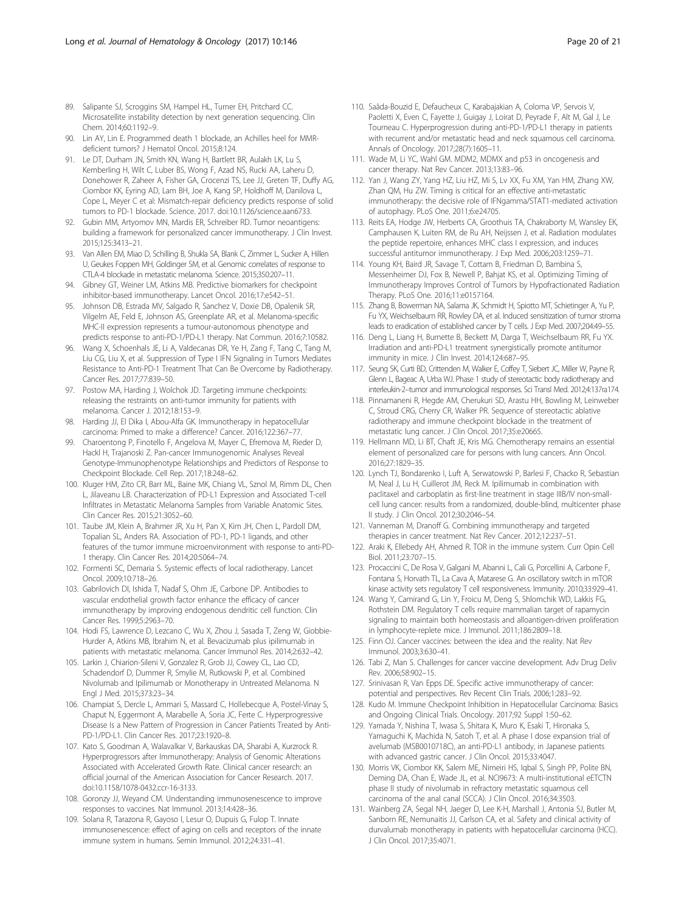- <span id="page-19-0"></span>89. Salipante SJ, Scroggins SM, Hampel HL, Turner EH, Pritchard CC. Microsatellite instability detection by next generation sequencing. Clin Chem. 2014;60:1192–9.
- 90. Lin AY, Lin E. Programmed death 1 blockade, an Achilles heel for MMRdeficient tumors? J Hematol Oncol. 2015;8:124.
- 91. Le DT, Durham JN, Smith KN, Wang H, Bartlett BR, Aulakh LK, Lu S, Kemberling H, Wilt C, Luber BS, Wong F, Azad NS, Rucki AA, Laheru D, Donehower R, Zaheer A, Fisher GA, Crocenzi TS, Lee JJ, Greten TF, Duffy AG, Ciombor KK, Eyring AD, Lam BH, Joe A, Kang SP, Holdhoff M, Danilova L, Cope L, Meyer C et al: Mismatch-repair deficiency predicts response of solid tumors to PD-1 blockade. Science. 2017. doi:10.1126/science.aan6733.
- 92. Gubin MM, Artyomov MN, Mardis ER, Schreiber RD. Tumor neoantigens: building a framework for personalized cancer immunotherapy. J Clin Invest. 2015;125:3413–21.
- 93. Van Allen EM, Miao D, Schilling B, Shukla SA, Blank C, Zimmer L, Sucker A, Hillen U, Geukes Foppen MH, Goldinger SM, et al. Genomic correlates of response to CTLA-4 blockade in metastatic melanoma. Science. 2015;350:207–11.
- 94. Gibney GT, Weiner LM, Atkins MB. Predictive biomarkers for checkpoint inhibitor-based immunotherapy. Lancet Oncol. 2016;17:e542–51.
- 95. Johnson DB, Estrada MV, Salgado R, Sanchez V, Doxie DB, Opalenik SR, Vilgelm AE, Feld E, Johnson AS, Greenplate AR, et al. Melanoma-specific MHC-II expression represents a tumour-autonomous phenotype and predicts response to anti-PD-1/PD-L1 therapy. Nat Commun. 2016;7:10582.
- 96. Wang X, Schoenhals JE, Li A, Valdecanas DR, Ye H, Zang F, Tang C, Tang M, Liu CG, Liu X, et al. Suppression of Type I IFN Signaling in Tumors Mediates Resistance to Anti-PD-1 Treatment That Can Be Overcome by Radiotherapy. Cancer Res. 2017;77:839–50.
- 97. Postow MA, Harding J, Wolchok JD. Targeting immune checkpoints: releasing the restraints on anti-tumor immunity for patients with melanoma. Cancer J. 2012;18:153–9.
- 98. Harding JJ, El Dika I, Abou-Alfa GK. Immunotherapy in hepatocellular carcinoma: Primed to make a difference? Cancer. 2016;122:367–77.
- 99. Charoentong P, Finotello F, Angelova M, Mayer C, Efremova M, Rieder D, Hackl H, Trajanoski Z. Pan-cancer Immunogenomic Analyses Reveal Genotype-Immunophenotype Relationships and Predictors of Response to Checkpoint Blockade. Cell Rep. 2017;18:248–62.
- 100. Kluger HM, Zito CR, Barr ML, Baine MK, Chiang VL, Sznol M, Rimm DL, Chen L, Jilaveanu LB. Characterization of PD-L1 Expression and Associated T-cell Infiltrates in Metastatic Melanoma Samples from Variable Anatomic Sites. Clin Cancer Res. 2015;21:3052–60.
- 101. Taube JM, Klein A, Brahmer JR, Xu H, Pan X, Kim JH, Chen L, Pardoll DM, Topalian SL, Anders RA. Association of PD-1, PD-1 ligands, and other features of the tumor immune microenvironment with response to anti-PD-1 therapy. Clin Cancer Res. 2014;20:5064–74.
- 102. Formenti SC, Demaria S. Systemic effects of local radiotherapy. Lancet Oncol. 2009;10:718–26.
- 103. Gabrilovich DI, Ishida T, Nadaf S, Ohm JE, Carbone DP. Antibodies to vascular endothelial growth factor enhance the efficacy of cancer immunotherapy by improving endogenous dendritic cell function. Clin Cancer Res. 1999;5:2963–70.
- 104. Hodi FS, Lawrence D, Lezcano C, Wu X, Zhou J, Sasada T, Zeng W, Giobbie-Hurder A, Atkins MB, Ibrahim N, et al. Bevacizumab plus ipilimumab in patients with metastatic melanoma. Cancer Immunol Res. 2014;2:632–42.
- 105. Larkin J, Chiarion-Sileni V, Gonzalez R, Grob JJ, Cowey CL, Lao CD, Schadendorf D, Dummer R, Smylie M, Rutkowski P, et al. Combined Nivolumab and Ipilimumab or Monotherapy in Untreated Melanoma. N Engl J Med. 2015;373:23–34.
- 106. Champiat S, Dercle L, Ammari S, Massard C, Hollebecque A, Postel-Vinay S, Chaput N, Eggermont A, Marabelle A, Soria JC, Ferte C. Hyperprogressive Disease Is a New Pattern of Progression in Cancer Patients Treated by Anti-PD-1/PD-L1. Clin Cancer Res. 2017;23:1920–8.
- 107. Kato S, Goodman A, Walavalkar V, Barkauskas DA, Sharabi A, Kurzrock R. Hyperprogressors after Immunotherapy: Analysis of Genomic Alterations Associated with Accelerated Growth Rate. Clinical cancer research: an official journal of the American Association for Cancer Research. 2017. doi:10.1158/1078-0432.ccr-16-3133.
- 108. Goronzy JJ, Weyand CM. Understanding immunosenescence to improve responses to vaccines. Nat Immunol. 2013;14:428–36.
- 109. Solana R, Tarazona R, Gayoso I, Lesur O, Dupuis G, Fulop T. Innate immunosenescence: effect of aging on cells and receptors of the innate immune system in humans. Semin Immunol. 2012;24:331–41.
- 110. Saâda-Bouzid E, Defaucheux C, Karabajakian A, Coloma VP, Servois V, Paoletti X, Even C, Fayette J, Guigay J, Loirat D, Peyrade F, Alt M, Gal J, Le Tourneau C. Hyperprogression during anti-PD-1/PD-L1 therapy in patients with recurrent and/or metastatic head and neck squamous cell carcinoma. Annals of Oncology. 2017;28(7):1605–11.
- 111. Wade M, Li YC, Wahl GM. MDM2, MDMX and p53 in oncogenesis and cancer therapy. Nat Rev Cancer. 2013;13:83–96.
- 112. Yan J, Wang ZY, Yang HZ, Liu HZ, Mi S, Lv XX, Fu XM, Yan HM, Zhang XW, Zhan QM, Hu ZW. Timing is critical for an effective anti-metastatic immunotherapy: the decisive role of IFNgamma/STAT1-mediated activation of autophagy. PLoS One. 2011;6:e24705.
- 113. Reits EA, Hodge JW, Herberts CA, Groothuis TA, Chakraborty M, Wansley EK, Camphausen K, Luiten RM, de Ru AH, Neijssen J, et al. Radiation modulates the peptide repertoire, enhances MHC class I expression, and induces successful antitumor immunotherapy. J Exp Med. 2006;203:1259–71.
- 114. Young KH, Baird JR, Savage T, Cottam B, Friedman D, Bambina S, Messenheimer DJ, Fox B, Newell P, Bahjat KS, et al. Optimizing Timing of Immunotherapy Improves Control of Tumors by Hypofractionated Radiation Therapy. PLoS One. 2016;11:e0157164.
- 115. Zhang B, Bowerman NA, Salama JK, Schmidt H, Spiotto MT, Schietinger A, Yu P, Fu YX, Weichselbaum RR, Rowley DA, et al. Induced sensitization of tumor stroma leads to eradication of established cancer by T cells. J Exp Med. 2007;204:49–55.
- 116. Deng L, Liang H, Burnette B, Beckett M, Darga T, Weichselbaum RR, Fu YX. Irradiation and anti-PD-L1 treatment synergistically promote antitumor immunity in mice. J Clin Invest. 2014;124:687–95.
- 117. Seung SK, Curti BD, Crittenden M, Walker E, Coffey T, Siebert JC, Miller W, Payne R, Glenn L, Bageac A, Urba WJ. Phase 1 study of stereotactic body radiotherapy and interleukin-2-tumor and immunological responses. Sci Transl Med. 2012;4:137ra174.
- 118. Pinnamaneni R, Hegde AM, Cherukuri SD, Arastu HH, Bowling M, Leinweber C, Stroud CRG, Cherry CR, Walker PR. Sequence of stereotactic ablative radiotherapy and immune checkpoint blockade in the treatment of metastatic lung cancer. J Clin Oncol. 2017;35:e20665.
- 119. Hellmann MD, Li BT, Chaft JE, Kris MG. Chemotherapy remains an essential element of personalized care for persons with lung cancers. Ann Oncol. 2016;27:1829–35.
- 120. Lynch TJ, Bondarenko I, Luft A, Serwatowski P, Barlesi F, Chacko R, Sebastian M, Neal J, Lu H, Cuillerot JM, Reck M. Ipilimumab in combination with paclitaxel and carboplatin as first-line treatment in stage IIIB/IV non-smallcell lung cancer: results from a randomized, double-blind, multicenter phase II study. J Clin Oncol. 2012;30:2046–54.
- 121. Vanneman M, Dranoff G. Combining immunotherapy and targeted therapies in cancer treatment. Nat Rev Cancer. 2012;12:237–51.
- 122. Araki K, Ellebedy AH, Ahmed R. TOR in the immune system. Curr Opin Cell Biol. 2011;23:707–15.
- 123. Procaccini C, De Rosa V, Galgani M, Abanni L, Cali G, Porcellini A, Carbone F, Fontana S, Horvath TL, La Cava A, Matarese G. An oscillatory switch in mTOR kinase activity sets regulatory T cell responsiveness. Immunity. 2010;33:929–41.
- 124. Wang Y, Camirand G, Lin Y, Froicu M, Deng S, Shlomchik WD, Lakkis FG, Rothstein DM. Regulatory T cells require mammalian target of rapamycin signaling to maintain both homeostasis and alloantigen-driven proliferation in lymphocyte-replete mice. J Immunol. 2011;186:2809–18.
- 125. Finn OJ. Cancer vaccines: between the idea and the reality. Nat Rev Immunol. 2003;3:630–41.
- 126. Tabi Z, Man S. Challenges for cancer vaccine development. Adv Drug Deliv Rev. 2006;58:902–15.
- 127. Srinivasan R, Van Epps DE. Specific active immunotherapy of cancer: potential and perspectives. Rev Recent Clin Trials. 2006;1:283–92.
- 128. Kudo M. Immune Checkpoint Inhibition in Hepatocellular Carcinoma: Basics and Ongoing Clinical Trials. Oncology. 2017;92 Suppl 1:50–62.
- 129. Yamada Y, Nishina T, Iwasa S, Shitara K, Muro K, Esaki T, Hironaka S, Yamaguchi K, Machida N, Satoh T, et al. A phase I dose expansion trial of avelumab (MSB0010718C), an anti-PD-L1 antibody, in Japanese patients with advanced gastric cancer. J Clin Oncol. 2015;33:4047.
- 130. Morris VK, Ciombor KK, Salem ME, Nimeiri HS, Iqbal S, Singh PP, Polite BN, Deming DA, Chan E, Wade JL, et al. NCI9673: A multi-institutional eETCTN phase II study of nivolumab in refractory metastatic squamous cell carcinoma of the anal canal (SCCA). J Clin Oncol. 2016;34:3503.
- 131. Wainberg ZA, Segal NH, Jaeger D, Lee K-H, Marshall J, Antonia SJ, Butler M, Sanborn RE, Nemunaitis JJ, Carlson CA, et al. Safety and clinical activity of durvalumab monotherapy in patients with hepatocellular carcinoma (HCC). J Clin Oncol. 2017;35:4071.